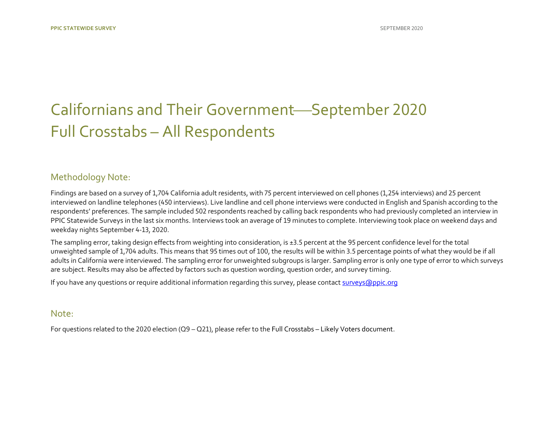# [Californians and Their Government](https://www.ppic.org/publication/ppic-statewide-survey-californians-and-their-government-september-2020/)-September 2020 Full Crosstabs – All Respondents

## Methodology Note:

Findings are based on a survey of 1,704 California adult residents, with 75 percent interviewed on cell phones (1,254 interviews) and 25 percent interviewed on landline telephones (450 interviews). Live landline and cell phone interviews were conducted in English and Spanish according to the respondents' preferences. The sample included 502 respondents reached by calling back respondents who had previously completed an interview in PPIC Statewide Surveys in the last six months. Interviews took an average of 19 minutes to complete. Interviewing took place on weekend days and weekday nights September 4-13, 2020.

The sampling error, taking design effects from weighting into consideration, is ±3.5 percent at the 95 percent confidence level for the total unweighted sample of 1,704 adults. This means that 95 times out of 100, the results will be within 3.5 percentage points of what they would be if all adults in California were interviewed. The sampling error for unweighted subgroups is larger. Sampling error is only one type of error to which surveys are subject. Results may also be affected by factors such as question wording, question order, and survey timing.

If you have any questions or require additional information regarding this survey, please contac[t surveys@ppic.org](mailto:surveys@ppic.org)

### Note:

For questions related to the 2020 election (Q9 – Q21), please refer to the Full Crosstabs – Likely Voters document.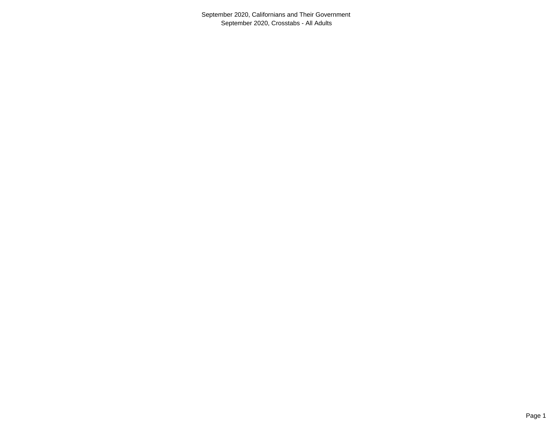September 2020, Californians and Their Government September 2020, Crosstabs - All Adults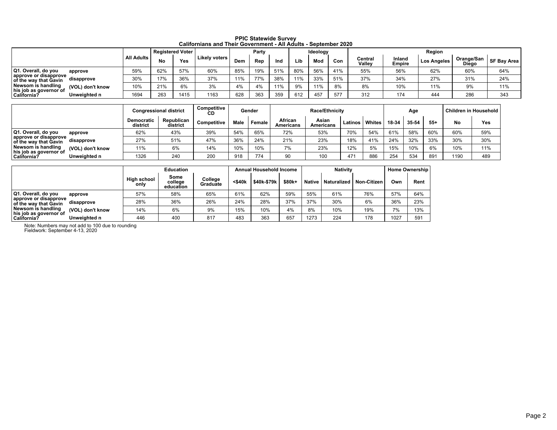|                                                    |                  |                   | <b>Registered Voter</b> |      |               |     | Party |     |     | Ideology |     |                   |                         | Region      |                     |             |
|----------------------------------------------------|------------------|-------------------|-------------------------|------|---------------|-----|-------|-----|-----|----------|-----|-------------------|-------------------------|-------------|---------------------|-------------|
|                                                    |                  | <b>All Adults</b> | No                      | Yes  | Likely voters | Dem | Rep   | Ind | Lib | Mod      | Con | Central<br>Valley | Inland<br><b>Empire</b> | Los Angeles | Orange/San<br>Diego | SF Bay Area |
| Q1. Overall, do you                                | approve          | 59%               | 62%                     | 57%  | 60%           | 85% | 19%   | 51% | 80% | 56%      | 41% | 55%               | 56%                     | 62%         | 60%                 | 64%         |
| ∣ approve or disapprove<br>l of the wav that Gavin | disapprove       | 30%               | 17%                     | 36%  | 37%           | 11% | 77%   | 38% | 11% | 33%      | 51% | 37%               | 34%                     | 27%         | 31%                 | 24%         |
| Newsom is handling<br>his job as governor of       | (VOL) don't know | 10%               | 21%                     | 6%   | 3%            | 4%  | 4%    | 11% | 9%  | 11%      | 8%  | 8%                | 10%                     | 11%         | 9%                  | 11%         |
| California?                                        | Unweighted n     | 1694              | 263                     | 1415 | 1163          | 628 | 363   | 359 | 612 | 457      | 577 | 312               | 174                     | 444         | 286                 | 343         |

|                                                |                  | <b>Congressional district</b> |                        | Competitive<br>CD  |             | Gender |                             | Race/Ethnicity     |         |               |       | Age   |       | Children in Household |            |
|------------------------------------------------|------------------|-------------------------------|------------------------|--------------------|-------------|--------|-----------------------------|--------------------|---------|---------------|-------|-------|-------|-----------------------|------------|
|                                                |                  | Democratic<br>district        | Republican<br>district | <b>Competitive</b> | <b>Male</b> | Female | African<br><b>Americans</b> | Asian<br>Americans | Latinos | <b>Whites</b> | 18-34 | 35-54 | $55+$ | No                    | <b>Yes</b> |
| Q1. Overall, do you                            | approve          | 62%                           | 43%                    | 39%                | 54%         | 65%    | 72%                         | 53%                | 70%     | 54%           | 61%   | 58%   | 60%   | 60%                   | 59%        |
| approve or disapprove<br>of the wav that Gavin | disapprove       | 27%                           | 51%                    | 47%                | 36%         | 24%    | 21%                         | 23%                | 18%     | 41%           | 24%   | 32%   | 33%   | 30%                   | 30%        |
| Newsom is handling<br>his iob as governor of   | (VOL) don't know | 11%                           | 6%                     | 14%                | 10%         | 10%    | 7%                          | 23%                | 12%     | 5%            | 15%   | 10%   | 6%    | 10%                   | 11%        |
| California?                                    | Unweighted n     | 1326                          | 240                    | 200                | 918         | 774    | 90                          | 100                | 47'     | 886           | 254   | 534   | 891   | 1190                  | 489        |

|                                                |                  |                     | <b>Education</b>             |                     |        | Annual Household Income |        |               | <b>Nativity</b> |                 |      | Home Ownership |
|------------------------------------------------|------------------|---------------------|------------------------------|---------------------|--------|-------------------------|--------|---------------|-----------------|-----------------|------|----------------|
|                                                |                  | High school<br>only | Some<br>college<br>education | College<br>Graduate | <\$40k | \$40k-\$79k             | \$80k+ | <b>Native</b> | Naturalized     | I I Non-Citizen | Own  | Rent           |
| Q1. Overall, do you                            | approve          | 57%                 | 58%                          | 65%                 | 61%    | 62%                     | 59%    | 55%           | 61%             | 76%             | 57%  | 64%            |
| approve or disapprove<br>of the way that Gavin | disapprove       | 28%                 | 36%                          | 26%                 | 24%    | 28%                     | 37%    | 37%           | 30%             | 6%              | 36%  | 23%            |
| Newsom is handling<br>his iob as governor of   | (VOL) don't know | 14%                 | 6%                           | 9%                  | 15%    | 10%                     | 4%     | 8%            | 10%             | 19%             | 7%   | 13%            |
| California?                                    | Unweighted n     | 446                 | 400                          | 817                 | 483    | 363                     | 657    | 1273          | 224             | 178             | 1027 | 591            |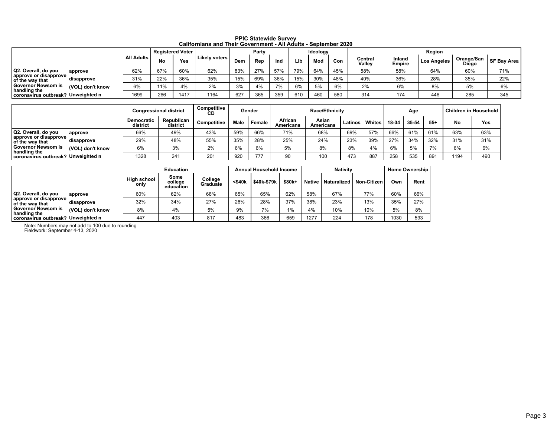|                                          |                  |                   | <b>Registered Voter</b> |            |                      |     | Party |     |     | Ideology |     |                   |                         | Region      |                            |             |
|------------------------------------------|------------------|-------------------|-------------------------|------------|----------------------|-----|-------|-----|-----|----------|-----|-------------------|-------------------------|-------------|----------------------------|-------------|
|                                          |                  | <b>All Adults</b> | No                      | <b>Yes</b> | <b>Likely voters</b> | Dem | Rep   | Ind | Lib | Mod      | Con | Central<br>Vallev | Inland<br><b>Empire</b> | Los Angeles | Orange/San<br><b>Diego</b> | SF Bay Area |
| Q2. Overall, do you                      | approve          | 62%               | 67%                     | 60%        | 62%                  | 83% | 27%   | 57% | 79% | 64%      | 45% | 58%               | 58%                     | 64%         | 60%                        | 71%         |
| approve or disapprove<br>of the way that | disapprove       | 31%               | 22%                     | 36%        | 35%                  | 15% | 69%   | 36% | 15% | 30%      | 48% | 40%               | 36%                     | 28%         | 35%                        | 22%         |
| Governor Newsom is<br>handling the       | (VOL) don't know | 6%                | 11%                     | 4%         | 2%                   | 3%  | 4%    | 7%  | 6%  | 5%       | 6%  | 2%                | 6%                      | 8%          | 5%                         | 6%          |
| coronavirus outbreak? Unweighted n       |                  | 1699              | 266                     | 1417       | 1164                 | 627 | 365   | 359 | 610 | 460      | 580 | 314               | 174                     | 446         | 285                        | 345         |

|                                                        |                               | <b>Congressional district</b> | Competitive<br>CD  |      | Gender |                             | <b>Race/Ethnicity</b> |                  |     |       | Age   |       | Children in Household |            |
|--------------------------------------------------------|-------------------------------|-------------------------------|--------------------|------|--------|-----------------------------|-----------------------|------------------|-----|-------|-------|-------|-----------------------|------------|
|                                                        | <b>Democratic</b><br>district | Republican<br>district        | <b>Competitive</b> | Male | Female | African<br><b>Americans</b> | Asian<br>Americans    | Latinos   Whites |     | 18-34 | 35-54 | $55+$ | No                    | <b>Yes</b> |
| Q2. Overall, do you<br>approve                         | 66%                           | 49%                           | 43%                | 59%  | 66%    | 71%                         | 68%                   | 69%              | 57% | 66%   | 61%   | 61%   | 63%                   | 63%        |
| approve or disapprove<br>disapprove<br>of the way that | 29%                           | 48%                           | 55%                | 35%  | 28%    | 25%                         | 24%                   | 23%              | 39% | 27%   | 34%   | 32%   | 31%                   | 31%        |
| Governor Newsom is<br>(VOL) don't know<br>handling the | 6%                            | 3%                            | 2%                 | 6%   | 6%     | 5%                          | 8%                    | 8%               | 4%  | 6%    | 5%    | 7%    | 6%                    | 6%         |
| coronavirus outbreak? Unweighted n                     | 1328                          | 241                           | 201                | 920  | 777    | 90                          | 100                   | 473              | 887 | 258   | 535   | 891   | 1194                  | 490        |

|                                                          |                     | <b>Education</b>             |                     |        | Annual Household Income |        |        | <b>Nativity</b> |             |      | Home Ownership |
|----------------------------------------------------------|---------------------|------------------------------|---------------------|--------|-------------------------|--------|--------|-----------------|-------------|------|----------------|
|                                                          | High school<br>only | Some<br>college<br>education | College<br>Graduate | <\$40k | \$40k-\$79k             | \$80k+ | Native | Naturalized     | Non-Citizen | Own  | Rent           |
| Q2. Overall, do you<br>approve                           | 60%                 | 62%                          | 68%                 | 65%    | 65%                     | 62%    | 58%    | 67%             | 77%         | 60%  | 66%            |
| approve or disapprove<br>disapprove<br>of the wav that   | 32%                 | 34%                          | 27%                 | 26%    | 28%                     | 37%    | 38%    | 23%             | 13%         | 35%  | 27%            |
| l Governor Newsom is<br>(VOL) don't know<br>handling the | 8%                  | 4%                           | 5%                  | 9%     | 7%                      | 1%     | 4%     | 10%             | 10%         | 5%   | 8%             |
| coronavirus outbreak? Unweighted n                       | 447                 | 403                          | 817                 | 483    | 366                     | 659    | 1277   | 224             | 178         | 1030 | 593            |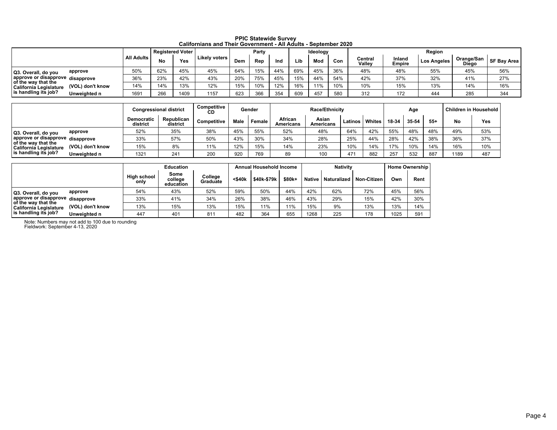|                                                      |                  |                   | <b>Registered Voter</b> |      |                      |     | Party |     |     | Ideology |     |                   |                         | Region      |                     |               |
|------------------------------------------------------|------------------|-------------------|-------------------------|------|----------------------|-----|-------|-----|-----|----------|-----|-------------------|-------------------------|-------------|---------------------|---------------|
|                                                      |                  | <b>All Adults</b> | No                      | Yes  | <b>Likely voters</b> | Dem | Rep   | Ind | Lib | Mod      | Con | Central<br>Vallev | Inland<br><b>Empire</b> | Los Angeles | Orange/San<br>Diego | l SF Bav Area |
| Q3. Overall, do you                                  | approve          | 50%               | 62%                     | 45%  | 45%                  | 64% | 15%   | 44% | 69% | 45%      | 36% | 48%               | 48%                     | 55%         | 45%                 | 56%           |
| approve or disapprove disapprove                     |                  | 36%               | 23%                     | 42%  | 43%                  | 20% | 75%   | 45% | 15% | 44%      | 54% | 42%               | 37%                     | 32%         | 41%                 | 27%           |
| of the wav that the<br><b>California Legislature</b> | (VOL) don't know | 14%               | 14%                     | 13%  | 12%                  | 15% | 10%   | 12% | 16% | 11%      | 10% | 10%               | 15%                     | 13%         | 14%                 | 16%           |
| is handling its job?                                 | Unweighted n     | 1691              | 266                     | 1409 | 1157                 | 623 | 366   | 354 | 609 | 457      | 580 | 312               | 172                     | 444         | 285                 | 344           |

|                                               |                  | <b>Congressional district</b> |                        | Competitive<br>CD  |      | Gender |                             | Race/Ethnicity     |                 |               |       | Age   |       |      | ˈ Children in Household │ |
|-----------------------------------------------|------------------|-------------------------------|------------------------|--------------------|------|--------|-----------------------------|--------------------|-----------------|---------------|-------|-------|-------|------|---------------------------|
|                                               |                  | <b>Democratic</b><br>district | Republican<br>district | <b>Competitive</b> | Male | Female | African<br><b>Americans</b> | Asian<br>Americans | ∟atinos         | <b>Whites</b> | 18-34 | 35-54 | $55+$ | No   | Yes                       |
| Q3. Overall, do you                           | approve          | 52%                           | 35%                    | 38%                | 45%  | 55%    | 52%                         | 48%                | 64%             | 42%           | 55%   | 48%   | 48%   | 49%  | 53%                       |
| approve or disapprove disapprove              |                  | 33%                           | 57%                    | 50%                | 43%  | 30%    | 34%                         | 28%                | 25%             | 44%           | 28%   | 42%   | 38%   | 36%  | 37%                       |
| of the way that the<br>California Legislature | (VOL) don't know | 15%                           | 8%                     | 11%                | 12%  | 15%    | 14%                         | 23%                | 10%             | 14%           | 17%   | 10%   | 14%   | 16%  | 10%                       |
| is handling its job?                          | Unweighted n     | 1321                          | 241                    | 200                | 920  | 769    | 89                          | 100                | 47 <sup>4</sup> | 882           | 257   | 532   | 887   | 1189 | 487                       |

|                                                 |                  |                     | <b>Education</b>             |                     |        | Annual Household Income |        |          | <b>Nativity</b> |             |      | <b>Home Ownership</b> |
|-------------------------------------------------|------------------|---------------------|------------------------------|---------------------|--------|-------------------------|--------|----------|-----------------|-------------|------|-----------------------|
|                                                 |                  | High school<br>only | Some<br>college<br>education | College<br>Graduate | <\$40k | \$40k-\$79k             | \$80k+ | Native I | Naturalized     | Non-Citizen | Own  | Rent                  |
| Q3. Overall, do you                             | approve          | 54%                 | 43%                          | 52%                 | 59%    | 50%                     | 44%    | 42%      | 62%             | 72%         | 45%  | 56%                   |
| approve or disapprove disapprove                |                  | 33%                 | 41%                          | 34%                 | 26%    | 38%                     | 46%    | 43%      | 29%             | 15%         | 42%  | 30%                   |
| of the way that the<br>  California Legislature | (VOL) don't know | 13%                 | 15%                          | 13%                 | 15%    | 11%                     | 11%    | 15%      | 9%              | 13%         | 13%  | 14%                   |
| l is handling its iob?                          | Unweighted n     | 447                 | 401                          | 811                 | 482    | 364                     | 655    | 1268     | 225             | 178         | 1025 | 591                   |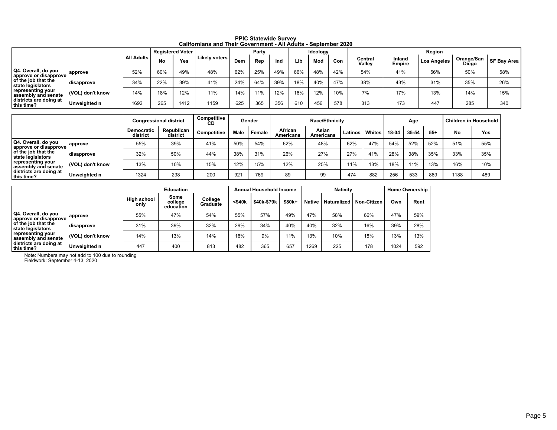|                                              |                  |                   | Registered Voter |      |                      |     | Party |     |     | Ideology |     |                   |                         | Region      |                     |             |
|----------------------------------------------|------------------|-------------------|------------------|------|----------------------|-----|-------|-----|-----|----------|-----|-------------------|-------------------------|-------------|---------------------|-------------|
|                                              |                  | <b>All Adults</b> | No               | Yes  | <b>Likely voters</b> | Dem | Rep   | Ind | Lib | Mod      | Con | Central<br>Vallev | Inland<br><b>Empire</b> | Los Angeles | Orange/San<br>Diego | SF Bay Area |
| Q4. Overall, do you<br>approve or disapprove | approve          | 52%               | 60%              | 49%  | 48%                  | 62% | 25%   | 49% | 66% | 48%      | 42% | 54%               | 41%                     | 56%         | 50%                 | 58%         |
| of the job that the<br>state legislators     | disapprove       | 34%               | 22%              | 39%  | 41%                  | 24% | 64%   | 39% | 18% | 40%      | 47% | 38%               | 43%                     | 31%         | 35%                 | 26%         |
| representing your<br>assembly and senate     | (VOL) don't know | 14%               | 18%              | 12%  | 11%                  | 14% | 11%   | 12% | 16% | 12%      | 10% | 7%                | 17%                     | 13%         | 14%                 | 15%         |
| districts are doing at<br>this time?         | Unweighted n     | 1692              | 265              | 1412 | 1159                 | 625 | 365   | 356 | 610 | 456      | 578 | 313               | 173                     | 447         | 285                 | 340         |

|                                              |                  | <b>Congressional district</b> |                        | Competitive<br>CD  |      | Gender |                             | Race/Ethnicity            |         |               |       | Age   |       | Children in Household |     |
|----------------------------------------------|------------------|-------------------------------|------------------------|--------------------|------|--------|-----------------------------|---------------------------|---------|---------------|-------|-------|-------|-----------------------|-----|
|                                              |                  | <b>Democratic</b><br>district | Republican<br>district | <b>Competitive</b> | Male | Female | African<br><b>Americans</b> | Asian<br><b>Americans</b> | Latinos | <b>Whites</b> | 18-34 | 35-54 | $55+$ | <b>No</b>             | Yes |
| Q4. Overall, do you<br>approve or disapprove | approve          | 55%                           | 39%                    | 41%                | 50%  | 54%    | 62%                         | 48%                       | 62%     | 47%           | 54%   | 52%   | 52%   | 51%                   | 55% |
| of the job that the<br>state legislators     | disapprove       | 32%                           | 50%                    | 44%                | 38%  | 31%    | 26%                         | 27%                       | 27%     | 41%           | 28%   | 38%   | 35%   | 33%                   | 35% |
| representing your<br>assembly and senate     | (VOL) don't know | 13%                           | 10%                    | 15%                | 12%  | 15%    | 12%                         | 25%                       | 11%     | 13%           | 18%   | 11%   | 13%   | 16%                   | 10% |
| districts are doing at<br>this time?         | Unweighted n     | 1324                          | 238                    | 200                | 921  | 769    | 89                          | 99                        | 474     | 882           | 256   | 533   | 889   | 1188                  | 489 |

|                                              |                  |                     | <b>Education</b>             |                     |        | Annual Household Income |        |        | <b>Nativity</b>           |     |      | <b>Home Ownership</b> |
|----------------------------------------------|------------------|---------------------|------------------------------|---------------------|--------|-------------------------|--------|--------|---------------------------|-----|------|-----------------------|
|                                              |                  | High school<br>only | Some<br>college<br>education | College<br>Graduate | <\$40k | \$40k-\$79k             | \$80k+ | Native | Naturalized   Non-Citizen |     | Own  | Rent                  |
| Q4. Overall, do you<br>approve or disapprove | approve          | 55%                 | 47%                          | 54%                 | 55%    | 57%                     | 49%    | 47%    | 58%                       | 66% | 47%  | 59%                   |
| of the job that the<br>state legislators     | disapprove       | 31%                 | 39%                          | 32%                 | 29%    | 34%                     | 40%    | 40%    | 32%                       | 16% | 39%  | 28%                   |
| representing your<br>assembly and senate     | (VOL) don't know | 14%                 | 13%                          | 14%                 | 16%    | 9%                      | 11%    | 13%    | 10%                       | 18% | 13%  | 13%                   |
| districts are doing at<br>this time?         | Unweiahted n     | 447                 | 400                          | 813                 | 482    | 365                     | 657    | 1269   | 225                       | 178 | 1024 | 592                   |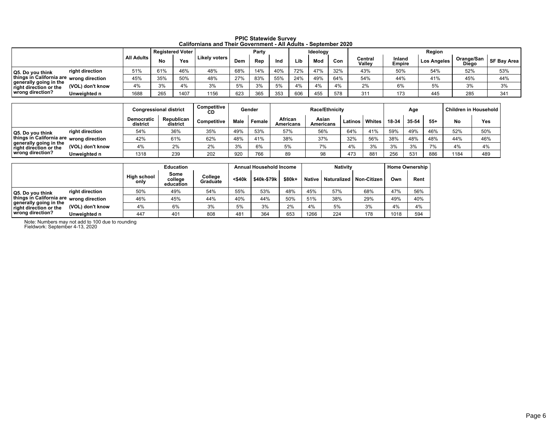|                                                   |                   |           | <b>Registered Voter</b> |                 |      |     | Party |     |     | Ideology |                   |                         |             | Region              |                    |     |
|---------------------------------------------------|-------------------|-----------|-------------------------|-----------------|------|-----|-------|-----|-----|----------|-------------------|-------------------------|-------------|---------------------|--------------------|-----|
| right direction<br>Q5. Do you think               | <b>All Adults</b> | <b>No</b> | <b>Yes</b>              | Likelv voters l | Dem  | Rep | Ind   | Lib | Mod | Con      | Central<br>Vallev | Inland<br><b>Empire</b> | Los Angeles | Orange/San<br>Diego | <b>SF Bay Area</b> |     |
|                                                   |                   | 51%       | 61%                     | 46%             | 48%  | 68% | 14%   | 40% | 72% | 47%      | 32%               | 43%                     | 50%         | 54%                 | 52%                | 53% |
| things in California are wrong direction          |                   | 45%       | 35%                     | 50%             | 48%  | 27% | 83%   | 55% | 24% | 49%      | 64%               | 54%                     | 44%         | 41%                 | 45%                | 44% |
| ∃generally going in the<br>right direction or the | (VOL) don't know  | 4%        | 3%                      | 4%              | 3%   | 5%  | 3%    | 5%  | 4%  | 4%       | 4%                | 2%                      | 6%          | 5%                  | 3%                 | 3%  |
| wrong direction?                                  | Unweighted n      | 1688      | 265                     | 1407            | 1156 | 623 | 365   | 353 | 606 | 455      | 578               | 311                     | 173         | 445                 | 285                | 341 |

|                                                  |                  |                               | <b>Congressional district</b> | Competitive<br>CD  |      | Gender |                             | Race/Ethnicity     |         |        |       | Age       |       |      | ˈ Children in Household │ |
|--------------------------------------------------|------------------|-------------------------------|-------------------------------|--------------------|------|--------|-----------------------------|--------------------|---------|--------|-------|-----------|-------|------|---------------------------|
|                                                  |                  | <b>Democratic</b><br>district | Republican<br>district        | <b>Competitive</b> | Male | Female | African<br><b>Americans</b> | Asian<br>Americans | Latinos | Whites | 18-34 | $35 - 54$ | $55+$ | No   | <b>Yes</b>                |
| Q5. Do vou think                                 | right direction  | 54%                           | 36%                           | 35%                | 49%  | 53%    | 57%                         | 56%                | 64%     | 41%    | 59%   | 49%       | 46%   | 52%  | 50%                       |
| things in California are wrong direction         |                  | 42%                           | 61%                           | 62%                | 48%  | 41%    | 38%                         | 37%                | 32%     | 56%    | 38%   | 48%       | 48%   | 44%  | 46%                       |
| generally going in the<br>right direction or the | (VOL) don't know | 4%                            | 2%                            | 2%                 | 3%   | 6%     | 5%                          | 7%                 | 4%      | 3%     | 3%    | 3%        | 7%    | 4%   | 4%                        |
| wrong direction?                                 | Unweighted n     | 1318                          | 239                           | 202                | 920  | 766    | 89                          | 98                 | 473     | 881    | 256   | 531       | 886   | 1184 | 489                       |

|                                                  |                  |                     | <b>Education</b>             |                     |        | Annual Household Income |        |               | <b>Nativity</b> |               | <b>Home Ownership</b> |      |
|--------------------------------------------------|------------------|---------------------|------------------------------|---------------------|--------|-------------------------|--------|---------------|-----------------|---------------|-----------------------|------|
|                                                  |                  | High school<br>only | Some<br>college<br>education | College<br>Graduate | <\$40k | \$40k-\$79k             | \$80k+ | <b>Native</b> | Naturalized I   | l Non-Citizen | Own                   | Rent |
| <b>Q5. Do vou think</b>                          | right direction  | 50%                 | 49%                          | 54%                 | 55%    | 53%                     | 48%    | 45%           | 57%             | 68%           | 47%                   | 56%  |
| things in California are wrong direction         |                  | 46%                 | 45%                          | 44%                 | 40%    | 44%                     | 50%    | 51%           | 38%             | 29%           | 49%                   | 40%  |
| generally going in the<br>right direction or the | (VOL) don't know | 4%                  | 6%                           | 3%                  | 5%     | 3%                      | 2%     | 4%            | 5%              | 3%            | 4%                    | 4%   |
| wrong direction?                                 | Unweighted n     | 447                 | 401                          | 808                 | 481    | 364                     | 653    | 1266          | 224             | 178           | 1018                  | 594  |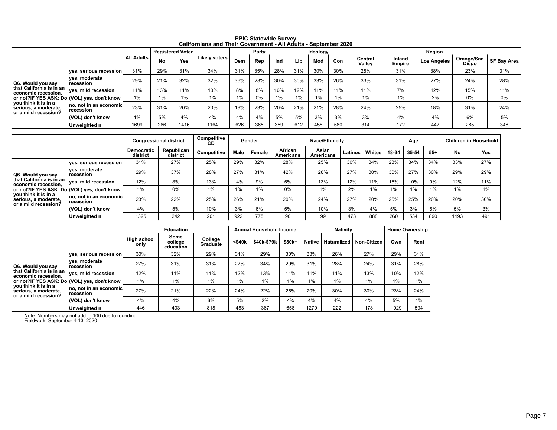|                                                                      |                                             |                   |                         |       | "             |       |       |     |     |          |     |                   |                         |             |                     |             |
|----------------------------------------------------------------------|---------------------------------------------|-------------------|-------------------------|-------|---------------|-------|-------|-----|-----|----------|-----|-------------------|-------------------------|-------------|---------------------|-------------|
|                                                                      |                                             |                   | <b>Registered Voter</b> |       |               |       | Party |     |     | Ideology |     |                   |                         | Region      |                     |             |
|                                                                      |                                             | <b>All Adults</b> | No                      | Yes   | Likely voters | Dem   | Rep   | Ind | Lib | Mod      | Con | Central<br>Vallev | Inland<br><b>Empire</b> | Los Angeles | Orange/San<br>Diego | SF Bay Area |
|                                                                      | yes, serious recession                      | 31%               | 29%                     | 31%   | 34%           | 31%   | 35%   | 28% | 31% | 30%      | 30% | 28%               | 31%                     | 38%         | 23%                 | 31%         |
| Q6. Would you say                                                    | yes, moderate<br>recession                  | 29%               | 21%                     | 32%   | 32%           | 36%   | 28%   | 30% | 30% | 33%      | 26% | 33%               | 31%                     | 27%         | 24%                 | 28%         |
| that California is in an<br>economic recession.                      | yes, mild recession                         | 11%               | 13%                     | 11%   | 10%           | 8%    | 8%    | 16% | 12% | 11%      | 11% | 11%               | 7%                      | 12%         | 15%                 | 11%         |
|                                                                      | or not?IF YES ASK: Do (VOL) yes, don't know | 1%                | $1\%$                   | $1\%$ | $1\%$         | $1\%$ | 0%    | 1%  | 1%  | 1%       | 1%  | $1\%$             | 1%                      | 2%          | $0\%$               | 0%          |
| you think it is in a<br>serious, a moderate,<br>or a mild recession? | no, not in an economic<br>recession         | 23%               | 31%                     | 20%   | 20%           | 19%   | 23%   | 20% | 21% | 21%      | 28% | 24%               | 25%                     | 18%         | 31%                 | 24%         |
|                                                                      | (VOL) don't know                            | 4%                | 5%                      | 4%    | 4%            | 4%    | 4%    | 5%  | 5%  | 3%       | 3%  | 3%                | 4%                      | 4%          | 6%                  | 5%          |
|                                                                      | Unweighted n                                | 1699              | 266                     | 1416  | 1164          | 626   | 365   | 359 | 612 | 458      | 580 | 314               | 172                     | 447         | 285                 | 346         |

|                                                                      |                                             | <b>Congressional district</b> |                        | Competitive<br>CD |      | Gender |                             | Race/Ethnicity            |         |        |       | Age   |       | Children in Household |     |
|----------------------------------------------------------------------|---------------------------------------------|-------------------------------|------------------------|-------------------|------|--------|-----------------------------|---------------------------|---------|--------|-------|-------|-------|-----------------------|-----|
|                                                                      |                                             | Democratic<br>district        | Republican<br>district | Competitive       | Male | Female | African<br><b>Americans</b> | Asian<br><b>Americans</b> | Latinos | Whites | 18-34 | 35-54 | $55+$ | <b>No</b>             | Yes |
|                                                                      | yes, serious recession                      | 31%                           | 27%                    | 25%               | 29%  | 32%    | 28%                         | 25%                       | 30%     | 34%    | 23%   | 34%   | 34%   | 33%                   | 27% |
| Q6. Would you say                                                    | yes, moderate<br>recession                  | 29%                           | 37%                    | 28%               | 27%  | 31%    | 42%                         | 28%                       | 27%     | 30%    | 30%   | 27%   | 30%   | 29%                   | 29% |
| that California is in an<br>economic recession.                      | yes, mild recession                         | 12%                           | 8%                     | 13%               | 14%  | 9%     | 5%                          | 13%                       | 12%     | 11%    | 15%   | 10%   | 9%    | 12%                   | 11% |
|                                                                      | or not?IF YES ASK: Do (VOL) yes, don't know | 1%                            | $0\%$                  | 1%                | 1%   | 1%     | 0%                          | 1%                        | 2%      | 1%     | 1%    | 1%    | 1%    | 1%                    | 1%  |
| vou think it is in a<br>serious, a moderate,<br>or a mild recession? | no, not in an economic<br>recession         | 23%                           | 22%                    | 25%               | 26%  | 21%    | 20%                         | 24%                       | 27%     | 20%    | 25%   | 25%   | 20%   | 20%                   | 30% |
|                                                                      | (VOL) don't know                            | 4%                            | 5%                     | 10%               | 3%   | 6%     | 5%                          | 10%                       | 3%      | 4%     | 5%    | 3%    | 6%    | 5%                    | 3%  |
|                                                                      | Unweighted n                                | 1325                          | 242                    | 201               | 922  | 775    | 90                          | 99                        | 473     | 888    | 260   | 534   | 890   | 1193                  | 491 |

|                                                                        |                                             |                     | <b>Education</b>             |                     |              | Annual Household Income |        |               | <b>Nativity</b> |             | <b>Home Ownership</b> |       |
|------------------------------------------------------------------------|---------------------------------------------|---------------------|------------------------------|---------------------|--------------|-------------------------|--------|---------------|-----------------|-------------|-----------------------|-------|
|                                                                        |                                             | High school<br>only | Some<br>college<br>education | College<br>Graduate | $<$ \$40 $k$ | \$40k-\$79k             | \$80k+ | <b>Native</b> | Naturalized     | Non-Citizen | Own                   | Rent  |
|                                                                        | yes, serious recession                      | 30%                 | 32%                          | 29%                 | 31%          | 29%                     | 30%    | 33%           | 26%             | 27%         | 29%                   | 31%   |
| Q6. Would you say                                                      | yes, moderate<br>recession                  | 27%                 | 31%                          | 31%                 | 27%          | 34%                     | 29%    | 31%           | 28%             | 24%         | 31%                   | 28%   |
| l that California is in an<br>economic recession.                      | yes, mild recession                         | 12%                 | 11%                          | 11%                 | 12%          | 13%                     | 11%    | 11%           | 11%             | 13%         | 10%                   | 12%   |
|                                                                        | or not?IF YES ASK: Do (VOL) yes, don't know | $1\%$               | 1%                           | $1\%$               | 1%           | 1%                      | 1%     | 1%            | $1\%$           | 1%          | 1%                    | $1\%$ |
| vou think it is in a<br>  serious, a moderate,<br>or a mild recession? | no, not in an economic<br>recession         | 27%                 | 21%                          | 22%                 | 24%          | 22%                     | 25%    | 20%           | 30%             | 30%         | 23%                   | 24%   |
|                                                                        | (VOL) don't know                            | 4%                  | 4%                           | 6%                  | 5%           | 2%                      | 4%     | 4%            | 4%              | 4%          | 5%                    | 4%    |
|                                                                        | Unweighted n                                | 446                 | 403                          | 818                 | 483          | 367                     | 658    | 1279          | 222             | 178         | 1029                  | 594   |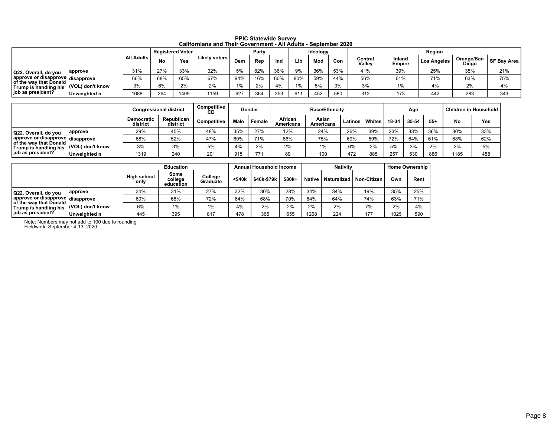|                                                 |                   |      | <b>Registered Voter</b> |               |            |     | Party |     |     | Ideology |                   |                         |             | Region              |               |     |
|-------------------------------------------------|-------------------|------|-------------------------|---------------|------------|-----|-------|-----|-----|----------|-------------------|-------------------------|-------------|---------------------|---------------|-----|
| approve<br>Q22. Overall, do you                 | <b>All Adults</b> | No   | <b>Yes</b>              | Likely voters | <b>Dem</b> | Rep | Ind   | Lib | Mod | Con      | Central<br>Valley | Inland<br><b>Empire</b> | Los Angeles | Orange/San<br>Diego | l SF Bav Area |     |
|                                                 |                   | 31%  | 27%                     | 33%           | 32%        | 5%  | 82%   | 36% | 9%  | 36%      | 53%               | 41%                     | 39%         | 25%                 | 35%           | 21% |
| approve or disapprove disapprove,               |                   | 66%  | 68%                     | 65%           | 67%        | 94% | 16%   | 60% | 90% | 59%      | 44%               | 56%                     | 61%         | 71%                 | 63%           | 75% |
| of the way that Donald<br>Trump is handling his | (VOL) don't know  | 3%   | 6%                      | 2%            | 2%         | 1%  | 2%    | 4%  | 1%  | 5%       | 3%                | 3%                      | 1%          | 4%                  | 2%            | 4%  |
| job as president?                               | Unweighted n      | 1688 | 264                     | 1409          | 1159       | 627 | 364   | 353 | 611 | 452      | 580               | 312                     | 173         | 442                 | 283           | 343 |

|                                                 |                  | <b>Congressional district</b> |                        | Competitive<br>CD  |      | Gender |                      | <b>Race/Ethnicity</b> |         |        |       | Age   |       |      | Children in Household |
|-------------------------------------------------|------------------|-------------------------------|------------------------|--------------------|------|--------|----------------------|-----------------------|---------|--------|-------|-------|-------|------|-----------------------|
|                                                 |                  | Democratic<br>district        | Republican<br>district | <b>Competitive</b> | Male | Female | African<br>Americans | Asian<br>Americans    | Latinos | Whites | 18-34 | 35-54 | $55+$ | No   | Yes                   |
| Q22. Overall, do you                            | approve          | 29%                           | 45%                    | 48%                | 35%  | 27%    | 12%                  | 24%                   | 26%     | 39%    | 23%   | 33%   | 36%   | 30%  | 33%                   |
| approve or disapprove disapprove                |                  | 68%                           | 52%                    | 47%                | 60%  | 71%    | 86%                  | 75%                   | 69%     | 59%    | 72%   | 64%   | 61%   | 68%  | 62%                   |
| of the wav that Donald<br>Trump is handling his | (VOL) don't know | 3%                            | 3%                     | 5%                 | 4%   | 2%     | 2%                   | 1%                    | 6%      | 2%     | 5%    | 3%    | 2%    | 2%   | 5%                    |
| job as president?                               | Unweighted n     | 1319                          | 240                    | 201                | 915  | 771    | 89                   | 100                   | 472     | 885    | 257   | 530   | 886   | 1185 | 488                   |

|                                                     |                  |                     | <b>Education</b>             |                     |        | Annual Household Income |        |               | <b>Nativity</b> |             |      | <b>Home Ownership</b> |
|-----------------------------------------------------|------------------|---------------------|------------------------------|---------------------|--------|-------------------------|--------|---------------|-----------------|-------------|------|-----------------------|
|                                                     |                  | High school<br>only | Some<br>college<br>education | College<br>Graduate | <\$40k | \$40k-\$79k             | \$80k+ | <b>Native</b> | Naturalized     | Non-Citizen | Own  | Rent                  |
| Q22. Overall, do you                                | approve          | 34%                 | 31%                          | 27%                 | 32%    | 30%                     | 28%    | 34%           | 34%             | 19%         | 35%  | 25%                   |
| approve or disapprove                               | disapprove       | 60%                 | 68%                          | 72%                 | 64%    | 68%                     | 70%    | 64%           | 64%             | 74%         | 63%  | 71%                   |
| l of the wav that Donald<br>' Trump is handling his | (VOL) don't know | 6%                  | 1%                           | 1%                  | 4%     | 2%                      | 2%     | 2%            | 2%              | 7%          | 2%   | 4%                    |
| l job as president?                                 | Unweighted n     | 445                 | 395                          | 817                 | 478    | 365                     | 655    | 1268          | 224             | 177         | 1025 | 590                   |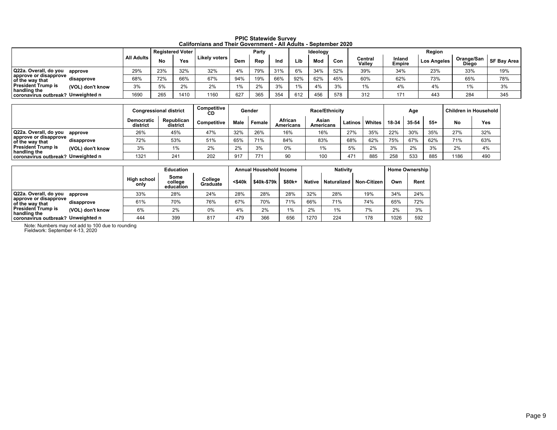|                                           |                  |                   | Registered Voter I |            |                      |     | Party |     |     | Ideology |     |                   |                         | Region      |                     |             |
|-------------------------------------------|------------------|-------------------|--------------------|------------|----------------------|-----|-------|-----|-----|----------|-----|-------------------|-------------------------|-------------|---------------------|-------------|
|                                           |                  | <b>All Adults</b> | No                 | <b>Yes</b> | <b>Likely voters</b> | Dem | Rep   | Ind | Lib | Mod      | Con | Central<br>Valley | Inland<br><b>Empire</b> | Los Angeles | Orange/San<br>Diego | SF Bay Area |
| Q22a. Overall, do you                     | approve          | 29%               | 23%                | 32%        | 32%                  | 4%  | 79%   | 31% | 6%  | 34%      | 52% | 39%               | 34%                     | 23%         | 33%                 | 19%         |
| approve or disapprove<br>of the way that  | disapprove       | 68%               | 72%                | 66%        | 67%                  | 94% | 19%   | 66% | 92% | 62%      | 45% | 60%               | 62%                     | 73%         | 65%                 | 78%         |
| <b>President Trump is</b><br>handling the | (VOL) don't know | 3%                | 5%                 | 2%         | 2%                   | 1%  | 2%    | 3%  | 1%  | 4%       | 3%  | $1\%$             | 4%                      | 4%          | $1\%$               | 3%          |
| coronavirus outbreak? Unweighted n        |                  | 1690              | 265                | 1410       | 1160                 | 627 | 365   | 354 | 612 | 456      | 578 | 312               | 171                     | 443         | 284                 | 345         |

|                                                               |                               | <b>Congressional district</b> | Competitive<br>CD |      | Gender          |                             | <b>Race/Ethnicity</b> |         |        |       | Age   |       | Children in Household |     |
|---------------------------------------------------------------|-------------------------------|-------------------------------|-------------------|------|-----------------|-----------------------------|-----------------------|---------|--------|-------|-------|-------|-----------------------|-----|
|                                                               | <b>Democratic</b><br>district | Republican<br>district        | Competitive       | Male | Female          | African<br><b>Americans</b> | Asian<br>Americans    | Latinos | Whites | 18-34 | 35-54 | $55+$ | No                    | Yes |
| Q22a. Overall, do you<br>approve                              | 26%                           | 45%                           | 47%               | 32%  | 26%             | 16%                         | 16%                   | 27%     | 35%    | 22%   | 30%   | 35%   | 27%                   | 32% |
| approve or disapprove<br>disapprove<br>of the way that        | 72%                           | 53%                           | 51%               | 65%  | 71%             | 84%                         | 83%                   | 68%     | 62%    | 75%   | 67%   | 62%   | 71%                   | 63% |
| <b>President Trump is</b><br>(VOL) don't know<br>handling the | 3%                            | 1%                            | 2%                | 2%   | 3%              | 0%                          | 1%                    | 5%      | 2%     | 3%    | 2%    | 3%    | 2%                    | 4%  |
| coronavirus outbreak? Unweighted n                            | 1321                          | 241                           | 202               | 917  | 77 <sup>1</sup> | 90                          | 100                   | 47'     | 885    | 258   | 533   | 885   | 1186                  | 490 |

|                                          |                  |                     | <b>Education</b>             |                     |        | Annual Household Income |        |        | <b>Nativity</b> |             |      | Home Ownership |
|------------------------------------------|------------------|---------------------|------------------------------|---------------------|--------|-------------------------|--------|--------|-----------------|-------------|------|----------------|
|                                          |                  | High school<br>only | Some<br>college<br>education | College<br>Graduate | <\$40k | \$40k-\$79k             | \$80k+ | Native | Naturalized     | Non-Citizen | Own  | Rent           |
| Q22a. Overall, do you                    | approve          | 33%                 | 28%                          | 24%                 | 28%    | 28%                     | 28%    | 32%    | 28%             | 19%         | 34%  | 24%            |
| approve or disapprove<br>of the wav that | disapprove       | 61%                 | 70%                          | 76%                 | 67%    | 70%                     | 71%    | 66%    | 71%             | 74%         | 65%  | 72%            |
| l President Trump is<br>handling the     | (VOL) don't know | 6%                  | 2%                           | 0%                  | 4%     | 2%                      | 1%     | 2%     | 1%              | 7%          | 2%   | 3%             |
| coronavirus outbreak? Unweighted n       |                  | 444                 | 399                          | 817                 | 479    | 366                     | 656    | 1270   | 224             | 178         | 1026 | 592            |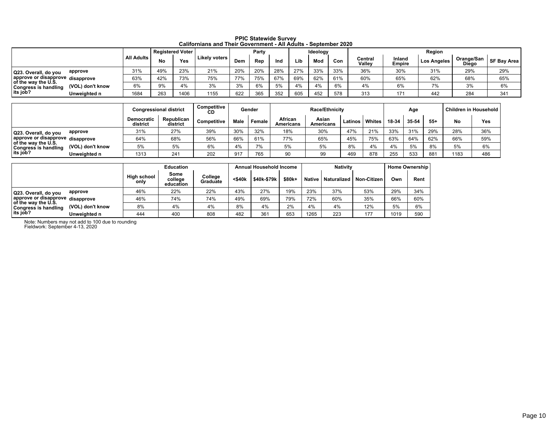|                                             |                  |                   | Registered Voter |      |               |     | Party |     |     | Ideology |     |                   |                         | Region      |                            |             |
|---------------------------------------------|------------------|-------------------|------------------|------|---------------|-----|-------|-----|-----|----------|-----|-------------------|-------------------------|-------------|----------------------------|-------------|
|                                             |                  | <b>All Adults</b> | No               | Yes  | Likely voters | Dem | Rep   | Ind | Lib | Mod      | Con | Central<br>Vallev | Inland<br><b>Empire</b> | Los Angeles | Orange/San<br><b>Diego</b> | SF Bay Area |
| Q23. Overall, do you                        | approve          | 31%               | 49%              | 23%  | 21%           | 20% | 20%   | 28% | 27% | 33%      | 33% | 36%               | 30%                     | 31%         | 29%                        | 29%         |
| approve or disapprove disapprove            |                  | 63%               | 42%              | 73%  | 75%           | 77% | 75%   | 67% | 69% | 62%      | 61% | 60%               | 65%                     | 62%         | 68%                        | 65%         |
| of the way the U.S.<br>Congress is handling | (VOL) don't know | 6%                | 9%               | 4%   | 3%            | 3%  | 6%    | 5%  | 4%  | 4%       | 6%  | 4%                | 6%                      | 7%          | 3%                         | 6%          |
| its job?                                    | Unweighted n     | 1684              | 263              | 1406 | 1155          | 622 | 365   | 352 | 605 | 452      | 578 | 313               | 171                     | 442         | 284                        | 341         |

|                                             |                  |                               | <b>Congressional district</b> | Competitive<br>CD  |      | Gender |                             | <b>Race/Ethnicity</b> |         |        |       | Age   |       |      | Children in Household |
|---------------------------------------------|------------------|-------------------------------|-------------------------------|--------------------|------|--------|-----------------------------|-----------------------|---------|--------|-------|-------|-------|------|-----------------------|
|                                             |                  | <b>Democratic</b><br>district | Republican<br>district        | <b>Competitive</b> | Male | Female | African<br><b>Americans</b> | Asian<br>Americans    | Latinos | Whites | 18-34 | 35-54 | $55+$ | No   | Yes                   |
| Q23. Overall, do you                        | approve          | 31%                           | 27%                           | 39%                | 30%  | 32%    | 18%                         | 30%                   | 47%     | 21%    | 33%   | 31%   | 29%   | 28%  | 36%                   |
| approve or disapprove                       | disapprove       | 64%                           | 68%                           | 56%                | 66%  | 61%    | 77%                         | 65%                   | 45%     | 75%    | 63%   | 64%   | 62%   | 66%  | 59%                   |
| of the way the U.S.<br>Congress is handling | (VOL) don't know | 5%                            | 5%                            | 6%                 | 4%   | 7%     | 5%                          | 5%                    | 8%      | 4%     | 4%    | 5%    | 8%    | 5%   | 6%                    |
| its job?                                    | Unweighted n     | 1313                          | 241                           | 202                | 917  | 765    | 90                          | 99                    | 469     | 878    | 255   | 533   | 881   | 1183 | 486                   |

|                                             |                  |                     | <b>Education</b>             |                     |        | Annual Household Income |        |               | <b>Nativity</b> |                             |      | Home Ownership |
|---------------------------------------------|------------------|---------------------|------------------------------|---------------------|--------|-------------------------|--------|---------------|-----------------|-----------------------------|------|----------------|
|                                             |                  | High school<br>only | Some<br>college<br>education | College<br>Graduate | <\$40k | \$40k-\$79k             | \$80k+ | <b>Native</b> |                 | ∣ Naturalized ∣ Non-Citizen | Own  | Rent           |
| Q23. Overall, do you                        | approve          | 46%                 | 22%                          | 22%                 | 43%    | 27%                     | 19%    | 23%           | 37%             | 53%                         | 29%  | 34%            |
| approve or disapprove disapprove            |                  | 46%                 | 74%                          | 74%                 | 49%    | 69%                     | 79%    | 72%           | 60%             | 35%                         | 66%  | 60%            |
| of the way the U.S.<br>Congress is handling | (VOL) don't know | 8%                  | 4%                           | 4%                  | 8%     | 4%                      | 2%     | 4%            | 4%              | 12%                         | 5%   | 6%             |
| lits job?                                   | Unweighted n     | 444                 | 400                          | 808                 | 482    | 361                     | 653    | 1265          | 223             | 177                         | 1019 | 590            |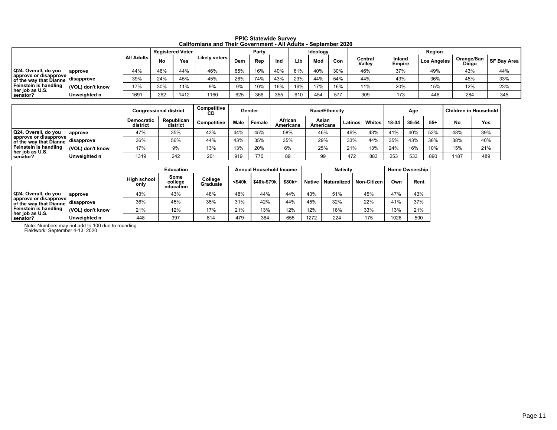|                                                    |                  |                   | Registered Voter |            |                      |            | Party |     |     | Ideology |     |                   |                         | Region      |                     |             |
|----------------------------------------------------|------------------|-------------------|------------------|------------|----------------------|------------|-------|-----|-----|----------|-----|-------------------|-------------------------|-------------|---------------------|-------------|
|                                                    |                  | <b>All Adults</b> | No               | <b>Yes</b> | <b>Likely voters</b> | <b>Dem</b> | Rep   | Ind | Lib | Mod      | Con | Central<br>Vallev | Inland<br><b>Empire</b> | Los Angeles | Orange/San<br>Diego | SF Bay Area |
| Q24. Overall, do you                               | approve          | 44%               | 46%              | 44%        | 46%                  | 65%        | 16%   | 40% | 61% | 40%      | 30% | 46%               | 37%                     | 49%         | 43%                 | 44%         |
| approve or disapprove <br>l of the wav that Dianne | disapprove       | 39%               | 24%              | 45%        | 45%                  | 26%        | 74%   | 43% | 23% | 44%      | 54% | 44%               | 43%                     | 36%         | 45%                 | 33%         |
| Feinstein is handling<br>her job as U.S.           | (VOL) don't know | 17%               | 30%              | 11%        | 9%                   | 9%         | 10%   | 16% | 16% | 17%      | 16% | 11%               | 20%                     | 15%         | 12%                 | 23%         |
| senator?                                           | Unweighted n     | 1691              | 262              | 1412       | 1160                 | 625        | 366   | 355 | 610 | 454      | 577 | 309               | 173                     | 446         | 284                 | 345         |

|                                                 |                  | <b>Congressional district</b> |                        | Competitive<br>CD  |      | Gender |                             | <b>Race/Ethnicity</b> |                  |     |       | Age   |       |           | Children in Household |
|-------------------------------------------------|------------------|-------------------------------|------------------------|--------------------|------|--------|-----------------------------|-----------------------|------------------|-----|-------|-------|-------|-----------|-----------------------|
|                                                 |                  | Democratic<br>district        | Republican<br>district | <b>Competitive</b> | Male | Female | African<br><b>Americans</b> | Asian<br>Americans    | Latinos   Whites |     | 18-34 | 35-54 | $55+$ | <b>No</b> | <b>Yes</b>            |
| Q24. Overall, do you                            | approve          | 47%                           | 35%                    | 43%                | 44%  | 45%    | 58%                         | 46%                   | 46%              | 43% | 41%   | 40%   | 52%   | 48%       | 39%                   |
| approve or disapprove<br>of the wav that Dianne | disapprove       | 36%                           | 56%                    | 44%                | 43%  | 35%    | 35%                         | 29%                   | 33%              | 44% | 35%   | 43%   | 38%   | 38%       | 40%                   |
| Feinstein is handling<br>her job as U.S.        | (VOL) don't know | 17%                           | 9%                     | 13%                | 13%  | 20%    | 6%                          | 25%                   | 21%              | 13% | 24%   | 16%   | 10%   | 15%       | 21%                   |
| senator?                                        | Unweighted n     | 1319                          | 242                    | 201                | 919  | 770    | 89                          | 99                    | 472              | 883 | 253   | 533   | 890   | 1187      | 489                   |

|                                                 |                  |                     | <b>Education</b>             |                     |        | Annual Household Income |        |               | <b>Nativity</b>           |     |      | Home Ownership |
|-------------------------------------------------|------------------|---------------------|------------------------------|---------------------|--------|-------------------------|--------|---------------|---------------------------|-----|------|----------------|
|                                                 |                  | High school<br>only | Some<br>college<br>education | College<br>Graduate | <\$40k | \$40k-\$79k             | \$80k+ | <b>Native</b> | Naturalized   Non-Citizen |     | Own  | Rent           |
| Q24. Overall, do you                            | approve          | 43%                 | 43%                          | 48%                 | 48%    | 44%                     | 44%    | 43%           | 51%                       | 45% | 47%  | 43%            |
| approve or disapprove<br>of the way that Dianne | disapprove       | 36%                 | 45%                          | 35%                 | 31%    | 42%                     | 44%    | 45%           | 32%                       | 22% | 41%  | 37%            |
| Feinstein is handling<br>her job as U.S.        | (VOL) don't know | 21%                 | 12%                          | 17%                 | 21%    | 13%                     | 12%    | 12%           | 18%                       | 33% | 13%  | 21%            |
| senator?                                        | Unweighted n     | 448                 | 397                          | 814                 | 479    | 364                     | 655    | 1272          | 224                       | 175 | 1026 | 590            |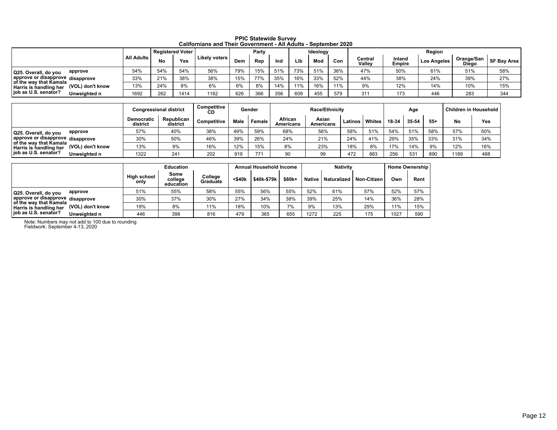|                                                  |                  |                   | <b>Registered Voter</b> |            |                 |     | Party |     |     | Ideology |            |                   |                         | Region      |                     |             |
|--------------------------------------------------|------------------|-------------------|-------------------------|------------|-----------------|-----|-------|-----|-----|----------|------------|-------------------|-------------------------|-------------|---------------------|-------------|
|                                                  |                  | <b>All Adults</b> | <b>No</b>               | <b>Yes</b> | Likelv voters l | Dem | Rep   | Ind | Lib | Mod      | <b>Con</b> | Central<br>Valley | Inland<br><b>Empire</b> | Los Angeles | Orange/San<br>Diego | SF Bay Area |
| Q25. Overall, do you                             | approve          | 54%               | 54%                     | 54%        | 56%             | 79% | 15%   | 51% | 73% | 51%      | 36%        | 47%               | 50%                     | 61%         | 51%                 | 58%         |
| approve or disapprove disapprove,                |                  | 33%               | 21%                     | 38%        | 38%             | 15% | 77%   | 35% | 16% | 33%      | 52%        | 44%               | 38%                     | 24%         | 39%                 | 27%         |
| of the wav that Kamala<br>Harris is handling her | (VOL) don't know | 13%               | 24%                     | 8%         | 6%              | 6%  | 8%    | 14% | 11% | 16%      | 11%        | 9%                | 12%                     | 14%         | 10%                 | 15%         |
| job as U.S. senator?                             | Unweighted n     | 1692              | 262                     | 1414       | 1162            | 626 | 366   | 356 | 609 | 455      | 579        | 311               | 173                     | 446         | 283                 | 344         |

|                                                  |                  | <b>Congressional district</b> |                        | Competitive<br>CD  |      | Gender          |                             | <b>Race/Ethnicity</b> |         |               |       | Age   |       |      | Children in Household |
|--------------------------------------------------|------------------|-------------------------------|------------------------|--------------------|------|-----------------|-----------------------------|-----------------------|---------|---------------|-------|-------|-------|------|-----------------------|
|                                                  |                  | <b>Democratic</b><br>district | Republican<br>district | <b>Competitive</b> | Male | Female          | African<br><b>Americans</b> | Asian<br>Americans    | Latinos | <b>Whites</b> | 18-34 | 35-54 | $55+$ | No   | Yes                   |
| Q25. Overall, do you                             | approve          | 57%                           | 40%                    | 38%                | 49%  | 59%             | 68%                         | 56%                   | 58%     | 51%           | 54%   | 51%   | 58%   | 57%  | 50%                   |
| approve or disapprove disapprove                 |                  | 30%                           | 50%                    | 46%                | 39%  | 26%             | 24%                         | 21%                   | 24%     | 41%           | 29%   | 35%   | 33%   | 31%  | 34%                   |
| of the way that Kamala<br>Harris is handling her | (VOL) don't know | 13%                           | 9%                     | 16%                | 12%  | 15%             | 8%                          | 23%                   | 18%     | 8%            | 17%   | 14%   | 9%    | 12%  | 16%                   |
| iob as U.S. senator?                             | Unweighted n     | 1322                          | 241                    | 202                | 919  | 77 <sup>1</sup> | 90                          | 99                    | 472     | 883           | 256   | 531   | 890   | 1189 | 488                   |

|                                                    |                  |                     | <b>Education</b>             |                     |        | Annual Household Income |        |          | <b>Nativity</b> |               |      | <b>Home Ownership</b> |
|----------------------------------------------------|------------------|---------------------|------------------------------|---------------------|--------|-------------------------|--------|----------|-----------------|---------------|------|-----------------------|
|                                                    |                  | High school<br>only | Some<br>college<br>education | College<br>Graduate | <\$40k | <b>\$40k-\$79k</b>      | \$80k+ | Native I | Naturalized     | l Non-Citizen | Own  | Rent                  |
| Q25. Overall, do you                               | approve          | 51%                 | 55%                          | 58%                 | 55%    | 56%                     | 55%    | 52%      | 61%             | 57%           | 52%  | 57%                   |
| approve or disapprove disapprove                   |                  | 30%                 | 37%                          | 30%                 | 27%    | 34%                     | 38%    | 39%      | 25%             | 14%           | 36%  | 28%                   |
| of the way that Kamala<br>l Harris is handling her | (VOL) don't know | 19%                 | 8%                           | 11%                 | 18%    | 10%                     | 7%     | 9%       | 13%             | 29%           | 11%  | 15%                   |
| l iob as U.S. senator?                             | Unweighted n     | 446                 | 398                          | 816                 | 479    | 365                     | 655    | 1272     | 225             | 175           | 1027 | 590                   |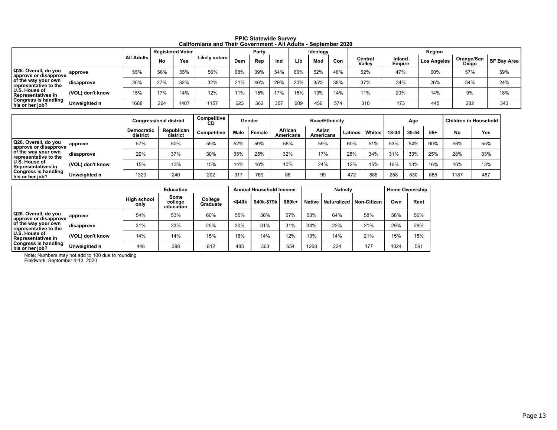|                                                |                  |                   | Registered Voter |      |                      |     | Party |     |     | Ideology |     |                   |                         | Region      |                     |                 |
|------------------------------------------------|------------------|-------------------|------------------|------|----------------------|-----|-------|-----|-----|----------|-----|-------------------|-------------------------|-------------|---------------------|-----------------|
|                                                |                  | <b>All Adults</b> | No               | Yes  | <b>Likely voters</b> | Dem | Rep   | Ind | Lib | Mod      | Con | Central<br>Valley | Inland<br><b>Empire</b> | Los Angeles | Orange/San<br>Diego | ∣ SF Bay Area I |
| Q26. Overall, do you<br>approve or disapprove  | approve          | 55%               | 56%              | 55%  | 56%                  | 68% | 39%   | 54% | 66% | 52%      | 48% | 52%               | 47%                     | 60%         | 57%                 | 59%             |
| of the way your own<br>representative to the   | disapprove       | 30%               | 27%              | 32%  | 32%                  | 21% | 46%   | 29% | 20% | 35%      | 38% | 37%               | 34%                     | 26%         | 34%                 | 24%             |
| U.S. House of<br><b>Representatives in</b>     | (VOL) don't know | 15%               | 17%              | 14%  | 12%                  | 11% | 15%   | 17% | 15% | 13%      | 14% | 11%               | 20%                     | 14%         | 9%                  | 18%             |
| <b>Congress is handling</b><br>his or her job? | Unweighted n     | 1688              | 264              | 1407 | 1157                 | 623 | 362   | 357 | 609 | 456      | 574 | 310               | 173                     | 445         | 282                 | 343             |

|                                                |                  | <b>Congressional district</b> |                        | Competitive<br>CD |      | Gender |                             | Race/Ethnicity     |         |               |       | Age   |       |      | Children in Household |
|------------------------------------------------|------------------|-------------------------------|------------------------|-------------------|------|--------|-----------------------------|--------------------|---------|---------------|-------|-------|-------|------|-----------------------|
|                                                |                  | <b>Democratic</b><br>district | Republican<br>district | Competitive       | Male | Female | African<br><b>Americans</b> | Asian<br>Americans | Latinos | <b>Whites</b> | 18-34 | 35-54 | $55+$ | No   | Yes                   |
| Q26. Overall, do you<br>approve or disapprove  | approve          | 57%                           | 50%                    | 55%               | 52%  | 59%    | 58%                         | 59%                | 60%     | 51%           | 53%   | 54%   | 60%   | 56%  | 55%                   |
| of the way your own<br>representative to the   | disapprove       | 29%                           | 37%                    | 30%               | 35%  | 25%    | 32%                         | 17%                | 28%     | 34%           | 31%   | 33%   | 25%   | 28%  | 33%                   |
| U.S. House of<br><b>Representatives in</b>     | (VOL) don't know | 15%                           | 13%                    | 15%               | 14%  | 16%    | 10%                         | 24%                | 12%     | 15%           | 16%   | 13%   | 16%   | 16%  | 13%                   |
| <b>Congress is handling</b><br>his or her job? | Unweighted n     | 1320                          | <b>240</b>             | 202               | 917  | 769    | 88                          | 99                 | 472     | 885           | 258   | 530   | 885   | 1187 | 487                   |

|                                               |                  |                     | <b>Education</b>             |                     |        | Annual Household Income |        |      | <b>Nativity</b>                    |     | <b>Home Ownership</b> |      |
|-----------------------------------------------|------------------|---------------------|------------------------------|---------------------|--------|-------------------------|--------|------|------------------------------------|-----|-----------------------|------|
|                                               |                  | High school<br>only | Some<br>college<br>education | College<br>Graduate | <\$40k | \$40k-\$79k             | \$80k+ |      | Native   Naturalized   Non-Citizen |     | Own                   | Rent |
| Q26. Overall, do you<br>approve or disapprove | approve          | 54%                 | 53%                          | 60%                 | 55%    | 56%                     | 57%    | 53%  | 64%                                | 58% | 56%                   | 56%  |
| of the way your own<br>representative to the  | disapprove       | 31%                 | 33%                          | 25%                 | 30%    | 31%                     | 31%    | 34%  | 22%                                | 21% | 29%                   | 29%  |
| ∣ U.S. House of<br>Representatives in         | (VOL) don't know | 14%                 | 14%                          | 15%                 | 16%    | 14%                     | 12%    | 13%  | 14%                                | 21% | 15%                   | 15%  |
| Congress is handling<br>his or her job?       | Unweighted n     | 448                 | 398                          | 812                 | 483    | 363                     | 654    | 1268 | 224                                | 177 | 1024                  | 591  |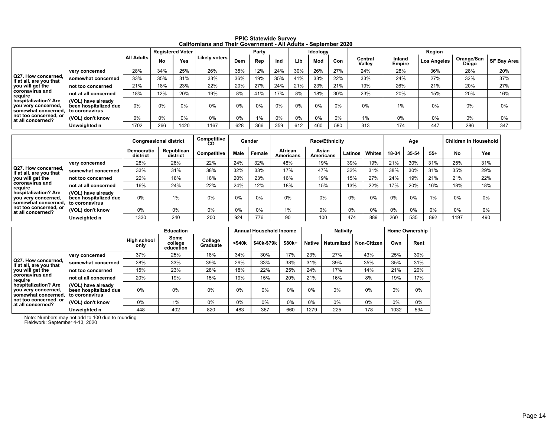|                                                                    |                                                               |                   |           |                         | <u> Janivinano ana indii Sovonimonte fuifigano</u> |     |       |     |       |          |     |                   |                         |             |                     |                    |
|--------------------------------------------------------------------|---------------------------------------------------------------|-------------------|-----------|-------------------------|----------------------------------------------------|-----|-------|-----|-------|----------|-----|-------------------|-------------------------|-------------|---------------------|--------------------|
|                                                                    |                                                               |                   |           | <b>Registered Voter</b> |                                                    |     | Party |     |       | Ideology |     |                   |                         | Region      |                     |                    |
|                                                                    |                                                               | <b>All Adults</b> | <b>No</b> | Yes                     | Likely voters                                      | Dem | Rep   | Ind | Lib   | Mod      | Con | Central<br>Vallev | Inland<br><b>Empire</b> | Los Angeles | Orange/San<br>Diego | <b>SF Bay Area</b> |
|                                                                    | very concerned                                                | 28%               | 34%       | 25%                     | 26%                                                | 35% | 12%   | 24% | 30%   | 26%      | 27% | 24%               | 28%                     | 36%         | 28%                 | 20%                |
| Q27. How concerned,<br>if at all, are you that                     | somewhat concerned                                            | 33%               | 35%       | 31%                     | 33%                                                | 36% | 19%   | 35% | 41%   | 33%      | 22% | 33%               | 24%                     | 27%         | 32%                 | 37%                |
| you will get the                                                   | not too concerned                                             | 21%               | 18%       | 23%                     | 22%                                                | 20% | 27%   | 24% | 21%   | 23%      | 21% | 19%               | 26%                     | 21%         | 20%                 | 27%                |
| coronavirus and<br>require                                         | not at all concerned                                          | 18%               | 12%       | 20%                     | 19%                                                | 8%  | 41%   | 17% | 8%    | 18%      | 30% | 23%               | 20%                     | 15%         | 20%                 | 16%                |
| hospitalization? Are<br>you very concerned.<br>somewhat concerned. | (VOL) have already<br>been hospitalized due<br>to coronavirus | 0%                | 0%        | 0%                      | 0%                                                 | 0%  | 0%    | 0%  | $0\%$ | $0\%$    | 0%  | 0%                | $1\%$                   | 0%          | 0%                  | 0%                 |
| not too concerned, or<br>at all concerned?                         | (VOL) don't know                                              | 0%                | 0%        | 0%                      | 0%                                                 | 0%  | 1%    | 0%  | 0%    | 0%       | 0%  | $1\%$             | 0%                      | 0%          | 0%                  | 0%                 |
|                                                                    | Unweighted n                                                  | 1702              | 266       | 1420                    | 1167                                               | 628 | 366   | 359 | 612   | 460      | 580 | 313               | 174                     | 447         | 286                 | 347                |

|                                                                    |                                                               | <b>Congressional district</b> |                        | Competitive<br>CD  |      | Gender |                             | <b>Race/Ethnicity</b>     |         |        |       | Age   |       |           | Children in Household |
|--------------------------------------------------------------------|---------------------------------------------------------------|-------------------------------|------------------------|--------------------|------|--------|-----------------------------|---------------------------|---------|--------|-------|-------|-------|-----------|-----------------------|
|                                                                    |                                                               | <b>Democratic</b><br>district | Republican<br>district | <b>Competitive</b> | Male | Female | African<br><b>Americans</b> | Asian<br><b>Americans</b> | Latinos | Whites | 18-34 | 35-54 | $55+$ | <b>No</b> | Yes                   |
|                                                                    | very concerned                                                | 28%                           | 26%                    | 22%                | 24%  | 32%    | 48%                         | 19%                       | 39%     | 19%    | 21%   | 30%   | 31%   | 25%       | 31%                   |
| Q27. How concerned,<br>if at all, are you that                     | somewhat concerned                                            | 33%                           | 31%                    | 38%                | 32%  | 33%    | 17%                         | 47%                       | 32%     | 31%    | 38%   | 30%   | 31%   | 35%       | 29%                   |
| you will get the                                                   | not too concerned                                             | 22%                           | 18%                    | 18%                | 20%  | 23%    | 16%                         | 19%                       | 15%     | 27%    | 24%   | 19%   | 21%   | 21%       | 22%                   |
| coronavirus and<br>require                                         | not at all concerned                                          | 16%                           | 24%                    | 22%                | 24%  | 12%    | 18%                         | 15%                       | 13%     | 22%    | 17%   | 20%   | 16%   | 18%       | 18%                   |
| hospitalization? Are<br>you very concerned,<br>somewhat concerned. | (VOL) have already<br>been hospitalized due<br>to coronavirus | 0%                            | 1%                     | 0%                 | 0%   | 0%     | 0%                          | 0%                        | $0\%$   | 0%     | 0%    | 0%    | 1%    | 0%        | 0%                    |
| not too concerned, or<br>at all concerned?                         | (VOL) don't know                                              | 0%                            | $0\%$                  | 0%                 | 0%   | 0%     | 1%                          | 0%                        | 0%      | 0%     | 0%    | 0%    | 0%    | 0%        | 0%                    |
|                                                                    | Unweighted n                                                  | 1330                          | 240                    | 200                | 924  | 776    | 90                          | 100                       | 474     | 889    | 260   | 535   | 892   | 1197      | 490                   |

|                                                                      |                                                               |                     | <b>Education</b>             |                     |              | Annual Household Income |        |               | <b>Nativity</b> |             | <b>Home Ownership</b> |      |
|----------------------------------------------------------------------|---------------------------------------------------------------|---------------------|------------------------------|---------------------|--------------|-------------------------|--------|---------------|-----------------|-------------|-----------------------|------|
|                                                                      |                                                               | High school<br>only | Some<br>college<br>education | College<br>Graduate | $<$ \$40 $k$ | \$40k-\$79k             | \$80k+ | <b>Native</b> | Naturalized     | Non-Citizen | Own                   | Rent |
|                                                                      | very concerned                                                | 37%                 | 25%                          | 18%                 | 34%          | 30%                     | 17%    | 23%           | 27%             | 43%         | 25%                   | 30%  |
| Q27. How concerned,<br>if at all, are you that                       | somewhat concerned                                            | 28%                 | 33%                          | 39%                 | 29%          | 33%                     | 38%    | 31%           | 39%             | 35%         | 35%                   | 31%  |
| vou will get the                                                     | not too concerned                                             | 15%                 | 23%                          | 28%                 | 18%          | 22%                     | 25%    | 24%           | 17%             | 14%         | 21%                   | 20%  |
| l coronavirus and<br>  require                                       | not at all concerned                                          | 20%                 | 19%                          | 15%                 | 19%          | 15%                     | 20%    | 21%           | 16%             | 8%          | 19%                   | 17%  |
| hospitalization? Are<br>  you very concerned,<br>somewhat concerned. | (VOL) have already<br>been hospitalized due<br>to coronavirus | 0%                  | 0%                           | 0%                  | 0%           | 0%                      | 0%     | 0%            | 0%              | 0%          | 0%                    | 0%   |
| l not too concerned. or<br>i at all concerned?                       | (VOL) don't know                                              | 0%                  | $1\%$                        | 0%                  | 0%           | 0%                      | 0%     | 0%            | 0%              | 0%          | 0%                    | 0%   |
|                                                                      | Unweighted n                                                  | 448                 | 402                          | 820                 | 483          | 367                     | 660    | 1279          | 225             | 178         | 1032                  | 594  |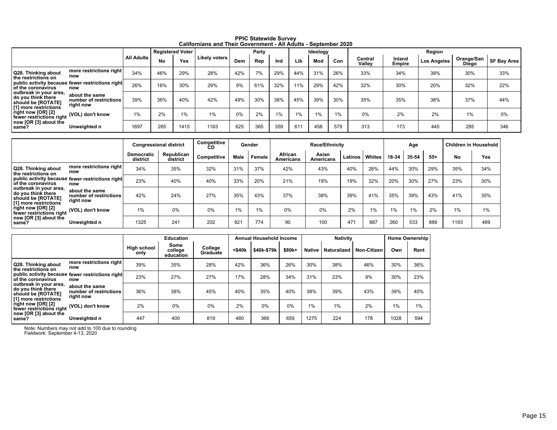|                                                                                             |                                                         |                   |     | <b>Registered Voter</b> |               |     | Party |       |     | Ideology |     |                   |                         | Region      |                     |             |
|---------------------------------------------------------------------------------------------|---------------------------------------------------------|-------------------|-----|-------------------------|---------------|-----|-------|-------|-----|----------|-----|-------------------|-------------------------|-------------|---------------------|-------------|
|                                                                                             |                                                         | <b>All Adults</b> | No  | Yes                     | Likely voters | Dem | Rep   | Ind   | Lib | Mod      | Con | Central<br>Vallev | Inland<br><b>Empire</b> | Los Angeles | Orange/San<br>Diego | SF Bay Area |
| Q28. Thinking about<br>l the restrictions on                                                | more restrictions right<br>now                          | 34%               | 46% | 29%                     | 28%           | 42% | 7%    | 29%   | 44% | 31%      | 26% | 33%               | 34%                     | 39%         | 30%                 | 33%         |
| of the coronavirus                                                                          | public activity because fewer restrictions right<br>now | 26%               | 16% | 30%                     | 29%           | 9%  | 61%   | 32%   | 11% | 29%      | 42% | 32%               | 30%                     | 20%         | 32%                 | 22%         |
| outbreak in your area,<br>do you think there<br>should be [ROTATE]<br>[1] more restrictions | about the same<br>number of restrictions<br>right now   | 39%               | 36% | 40%                     | 42%           | 49% | 30%   | 38%   | 45% | 39%      | 30% | 35%               | 35%                     | 38%         | 37%                 | 44%         |
| right now [OR] [2]<br>fewer restrictions right                                              | (VOL) don't know                                        | 1%                | 2%  | 1%                      | 1%            | 0%  | 2%    | $1\%$ | 1%  | 1%       | 1%  | 0%                | 2%                      | 2%          | 1%                  | 0%          |
| now [OR [3] about the<br>l same?                                                            | Unweighted n                                            | 1697              | 265 | 1415                    | 1163          | 625 | 365   | 359   | 61' | 458      | 579 | 313               | 173                     | 445         | 285                 | 346         |

**PPIC Statewide Survey Californians and Their Government - All Adults - September 2020**

|                                                                                             |                                                         | <b>Congressional district</b> |                        | Competitive<br>CD |       | Gender |                             | <b>Race/Ethnicity</b>     |         |        |       | Age   |       |      | Children in Household |
|---------------------------------------------------------------------------------------------|---------------------------------------------------------|-------------------------------|------------------------|-------------------|-------|--------|-----------------------------|---------------------------|---------|--------|-------|-------|-------|------|-----------------------|
|                                                                                             |                                                         | <b>Democratic</b><br>district | Republican<br>district | Competitive       | Male  | Female | African<br><b>Americans</b> | Asian<br><b>Americans</b> | Latinos | Whites | 18-34 | 35-54 | $55+$ | No   | Yes                   |
| Q28. Thinking about<br>the restrictions on                                                  | more restrictions right<br>now                          | 34%                           | 35%                    | 32%               | 31%   | 37%    | 42%                         | 43%                       | 40%     | 26%    | 44%   | 30%   | 29%   | 35%  | 34%                   |
| of the coronavirus                                                                          | public activity because fewer restrictions right<br>now | 23%                           | 40%                    | 40%               | 33%   | 20%    | 21%                         | 19%                       | 19%     | 32%    | 20%   | 30%   | 27%   | 23%  | 30%                   |
| outbreak in your area,<br>do you think there<br>should be [ROTATE]<br>[1] more restrictions | about the same<br>number of restrictions<br>right now   | 42%                           | 24%                    | 27%               | 35%   | 43%    | 37%                         | 38%                       | 39%     | 41%    | 35%   | 39%   | 43%   | 41%  | 35%                   |
| right now [OR] [2]<br>fewer restrictions right                                              | (VOL) don't know                                        | 1%                            | 0%                     | 0%                | $1\%$ | 1%     | 0%                          | 0%                        | 2%      | 1%     | 1%    | 1%    | 2%    | 1%   | $1\%$                 |
| now [OR [3] about the<br>same?                                                              | Unweighted n                                            | 1325                          | 241                    | 202               | 921   | 774    | 90                          | 100                       | 471     | 887    | 260   | 533   | 889   | 1193 | 489                   |

|                                                                                             |                                                         |                     | <b>Education</b>             |                     |              | <b>Annual Household Income</b> |        |               | <b>Nativity</b> |                    |      | <b>Home Ownership</b> |
|---------------------------------------------------------------------------------------------|---------------------------------------------------------|---------------------|------------------------------|---------------------|--------------|--------------------------------|--------|---------------|-----------------|--------------------|------|-----------------------|
|                                                                                             |                                                         | High school<br>only | Some<br>college<br>education | College<br>Graduate | $<$ \$40 $k$ | \$40k-\$79k                    | \$80k+ | <b>Native</b> | Naturalized     | <b>Non-Citizen</b> | Own  | Rent                  |
| Thinking about<br>Q28.<br>the restrictions on                                               | more restrictions right<br>now                          | 39%                 | 35%                          | 28%                 | 42%          | 36%                            | 26%    | 30%           | 38%             | 46%                | 30%  | 36%                   |
| of the coronavirus                                                                          | public activity because fewer restrictions right<br>now | 23%                 | 27%                          | 27%                 | 17%          | 28%                            | 34%    | 31%           | 23%             | 9%                 | 30%  | 23%                   |
| outbreak in your area,<br>do you think there<br>should be [ROTATE]<br>[1] more restrictions | about the same<br>number of restrictions<br>right now   | 36%                 | 38%                          | 45%                 | 40%          | 35%                            | 40%    | 38%           | 39%             | 43%                | 39%  | 40%                   |
| right now [OR] [2]<br>fewer restrictions right                                              | (VOL) don't know                                        | 2%                  | 0%                           | 0%                  | 2%           | 0%                             | 0%     | 1%            | 1%              | 2%                 | 1%   | 1%                    |
| now [OR [3] about the<br>same?                                                              | Unweighted n                                            | 447                 | 400                          | 819                 | 480          | 366                            | 659    | 1275          | 224             | 178                | 1028 | 594                   |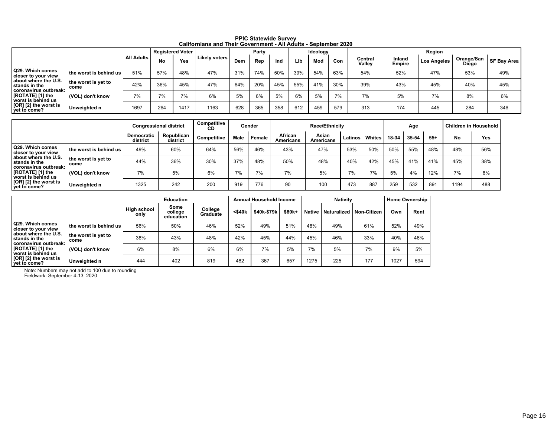|                                                                   |                             |                   | <b>Registered Voter</b> |            |               |     | Party |     |     | Ideology |     |                   |                         | Region      |                     |                    |
|-------------------------------------------------------------------|-----------------------------|-------------------|-------------------------|------------|---------------|-----|-------|-----|-----|----------|-----|-------------------|-------------------------|-------------|---------------------|--------------------|
|                                                                   |                             | <b>All Adults</b> | No                      | <b>Yes</b> | Likely voters | Dem | Rep   | Ind | Lib | Mod      | Con | Central<br>Valley | Inland<br><b>Empire</b> | Los Angeles | Orange/San<br>Diego | <b>SF Bay Area</b> |
| Q29. Which comes<br>  closer to your view                         | the worst is behind us      | 51%               | 57%                     | 48%        | 47%           | 31% | 74%   | 50% | 39% | 54%      | 63% | 54%               | 52%                     | 47%         | 53%                 | 49%                |
| <b>about where the U.S.</b><br>stands in the                      | the worst is yet to<br>come | 42%               | 36%                     | 45%        | 47%           | 64% | 20%   | 45% | 55% | 41%      | 30% | 39%               | 43%                     | 45%         | 40%                 | 45%                |
| coronavirus outbreak:<br>[ROTATE] [1] the<br>l worst is behind us | (VOL) don't know            | 7%                | 7%                      | 7%         | 6%            | 5%  | 6%    | 5%  | 6%  | 5%       | 7%  | 7%                | 5%                      | 7%          | 8%                  | 6%                 |
| $ [OR]$ $[2]$ the worst is<br>vet to come?                        | Unweighted n                | 1697              | 264                     | 1417       | 1163          | 628 | 365   | 358 | 612 | 459      | 579 | 313               | 174                     | 445         | 284                 | 346                |

|                                                                   |                             |                               | <b>Congressional district</b> | Competitive<br>CD  |             | Gender |                             | Race/Ethnicity     |         |               |       | Age   |       |      | Children in Household |
|-------------------------------------------------------------------|-----------------------------|-------------------------------|-------------------------------|--------------------|-------------|--------|-----------------------------|--------------------|---------|---------------|-------|-------|-------|------|-----------------------|
|                                                                   |                             | <b>Democratic</b><br>district | Republican<br>district        | <b>Competitive</b> | <b>Male</b> | Female | African<br><b>Americans</b> | Asian<br>Americans | Latinos | <b>Whites</b> | 18-34 | 35-54 | $55+$ | No   | <b>Yes</b>            |
| Q29. Which comes<br>I closer to your view                         | the worst is behind us      | 49%                           | 60%                           | 64%                | 56%         | 46%    | 43%                         | 47%                | 53%     | 50%           | 50%   | 55%   | 48%   | 48%  | 56%                   |
| I about where the U.S.<br>stands in the                           | the worst is yet to<br>come | 44%                           | 36%                           | 30%                | 37%         | 48%    | 50%                         | 48%                | 40%     | 42%           | 45%   | 41%   | 41%   | 45%  | 38%                   |
| coronavirus outbreak:<br>  [ROTATE] [1] the<br>worst is behind us | (VOL) don't know            | 7%                            | 5%                            | 6%                 | 7%          | 7%     | 7%                          | 5%                 | 7%      | 7%            | 5%    | 4%    | 12%   | 7%   | 6%                    |
| [OR] [2] the worst is<br>yet to come?                             | Unweighted n                | 1325                          | 242                           | 200                | 919         | 776    | 90                          | 100                | 473     | 887           | 259   | 532   | 891   | 1194 | 488                   |

|                                                                       |                             |                     | <b>Education</b>             |                     |              | <b>Annual Household Income</b> |        |      | <b>Nativity</b>                    |     |      | <b>Home Ownership</b> |
|-----------------------------------------------------------------------|-----------------------------|---------------------|------------------------------|---------------------|--------------|--------------------------------|--------|------|------------------------------------|-----|------|-----------------------|
|                                                                       |                             | High school<br>only | Some<br>college<br>education | College<br>Graduate | $<$ \$40 $k$ | \$40k-\$79k                    | \$80k+ |      | Native   Naturalized   Non-Citizen |     | Own  | Rent                  |
| Q29. Which comes<br>  closer to your view                             | the worst is behind us      | 56%                 | 50%                          | 46%                 | 52%          | 49%                            | 51%    | 48%  | 49%                                | 61% | 52%  | 49%                   |
| l about where the U.S.<br>stands in the                               | the worst is yet to<br>come | 38%                 | 43%                          | 48%                 | 42%          | 45%                            | 44%    | 45%  | 46%                                | 33% | 40%  | 46%                   |
| l coronavirus outbreak:<br>  [ROTATE] [1] the<br>l worst is behind us | (VOL) don't know            | 6%                  | 8%                           | 6%                  | 6%           | 7%                             | 5%     | 7%   | 5%                                 | 7%  | 9%   | 5%                    |
| [OR] [2] the worst is<br>yet to come?                                 | Unweighted n                | 444                 | 402                          | 819                 | 482          | 367                            | 657    | 1275 | 225                                | 177 | 1027 | 594                   |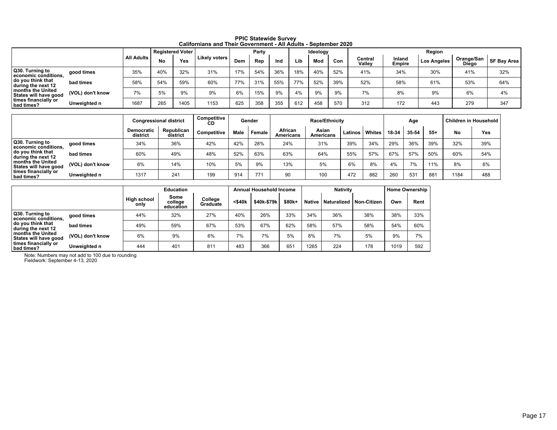|                                            |                  |                   | Registered Voter |      |               |     | Party |     |     | Ideology |     |                   |                         | Region      |                     |                 |
|--------------------------------------------|------------------|-------------------|------------------|------|---------------|-----|-------|-----|-----|----------|-----|-------------------|-------------------------|-------------|---------------------|-----------------|
|                                            |                  | <b>All Adults</b> | <b>No</b>        | Yes  | Likely voters | Dem | Rep   | Ind | Lib | Mod      | Con | Central<br>Vallev | Inland<br><b>Empire</b> | Los Angeles | Orange/San<br>Diego | ∣ SF Bay Area I |
| Q30. Turning to<br>economic conditions.    | good times       | 35%               | 40%              | 32%  | 31%           | 17% | 54%   | 36% | 18% | 40%      | 52% | 41%               | 34%                     | 30%         | 41%                 | 32%             |
| do you think that<br>during the next 12    | bad times        | 58%               | 54%              | 59%  | 60%           | 77% | 31%   | 55% | 77% | 52%      | 39% | 52%               | 58%                     | 61%         | 53%                 | 64%             |
| months the United<br>States will have good | (VOL) don't know | 7%                | 5%               | 9%   | 9%            | 6%  | 15%   | 9%  | 4%  | 9%       | 9%  | 7%                | 8%                      | 9%          | 6%                  | 4%              |
| times financially or<br>bad times?         | Unweighted n     | 1687              | 265              | 1405 | 1153          | 625 | 358   | 355 | 612 | 458      | 570 | 312               | 172                     | 443         | 279                 | 347             |

|                                            |                  |                        | <b>Congressional district</b> | Competitive<br>CD |      | Gender |                             | <b>Race/Ethnicity</b>     |         |        |       | Age   |       | Children in Household |     |
|--------------------------------------------|------------------|------------------------|-------------------------------|-------------------|------|--------|-----------------------------|---------------------------|---------|--------|-------|-------|-------|-----------------------|-----|
|                                            |                  | Democratic<br>district | Republican<br>district        | Competitive       | Male | Female | African<br><b>Americans</b> | Asian<br><b>Americans</b> | Latinos | Whites | 18-34 | 35-54 | $55+$ | <b>No</b>             | Yes |
| Q30. Turning to<br>economic conditions.    | good times       | 34%                    | 36%                           | 42%               | 42%  | 28%    | 24%                         | 31%                       | 39%     | 34%    | 29%   | 36%   | 39%   | 32%                   | 39% |
| do you think that<br>during the next 12    | bad times        | 60%                    | 49%                           | 48%               | 52%  | 63%    | 63%                         | 64%                       | 55%     | 57%    | 67%   | 57%   | 50%   | 60%                   | 54% |
| months the United<br>States will have good | (VOL) don't know | 6%                     | 14%                           | 10%               | 5%   | 9%     | 13%                         | 5%                        | 6%      | 8%     | 4%    | 7%    | 11%   | 8%                    | 6%  |
| times financially or<br>bad times?         | Unweighted n     | 1317                   | 24 <sup>1</sup>               | 199               | 914  | 771    | 90                          | 100                       | 472     | 882    | 260   | 531   | 881   | 1184                  | 488 |

|                                            |                  |                     | <b>Education</b>             |                     |              | <b>Annual Household Income</b> |        |               | <b>Nativity</b>           |     | <b>Home Ownership</b> |      |
|--------------------------------------------|------------------|---------------------|------------------------------|---------------------|--------------|--------------------------------|--------|---------------|---------------------------|-----|-----------------------|------|
|                                            |                  | High school<br>only | Some<br>college<br>education | College<br>Graduate | $<$ \$40 $k$ | \$40k-\$79k                    | \$80k+ | <b>Native</b> | Naturalized   Non-Citizen |     | Own                   | Rent |
| Q30. Turning to<br>'economic conditions.   | good times       | 44%                 | 32%                          | 27%                 | 40%          | 26%                            | 33%    | 34%           | 36%                       | 38% | 38%                   | 33%  |
| ∣ do you think that<br>during the next 12  | bad times        | 49%                 | 59%                          | 67%                 | 53%          | 67%                            | 62%    | 58%           | 57%                       | 58% | 54%                   | 60%  |
| months the United<br>States will have good | (VOL) don't know | 6%                  | 9%                           | 6%                  | 7%           | 7%                             | 5%     | 8%            | 7%                        | 5%  | 9%                    | 7%   |
| times financially or<br>bad times?         | Unweighted n     | 444                 | 401                          | 81 <sup>′</sup>     | 483          | 366                            | 651    | 1265          | 224                       | 178 | 1019                  | 592  |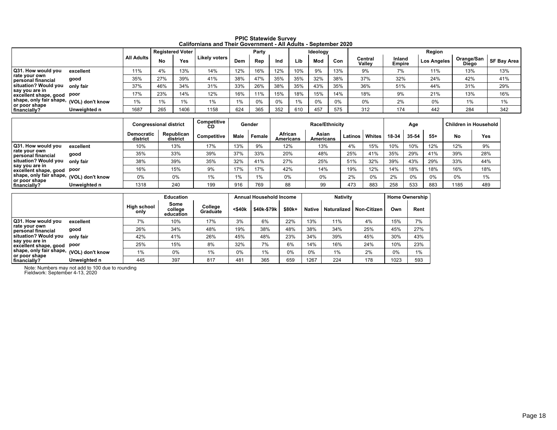|                                         |                  |                   |     | <b>Registered Voter</b> |               |       | Party |       |     | Ideology |     |                   |                         | Region      |                     |             |
|-----------------------------------------|------------------|-------------------|-----|-------------------------|---------------|-------|-------|-------|-----|----------|-----|-------------------|-------------------------|-------------|---------------------|-------------|
|                                         |                  | <b>All Adults</b> | No  | Yes                     | Likely voters | Dem   | Rep   | Ind   | Lib | Mod      | Con | Central<br>Vallev | Inland<br><b>Empire</b> | Los Angeles | Orange/San<br>Dieao | SF Bay Area |
| Q31. How would you                      | excellent        | 11%               | 4%  | 13%                     | 14%           | 12%   | 16%   | 12%   | 10% | 9%       | 13% | 9%                | 7%                      | 11%         | 13%                 | 13%         |
| ∣ rate vour own<br>personal financial   | good             | 35%               | 27% | 39%                     | 41%           | 38%   | 47%   | 35%   | 35% | 32%      | 38% | 37%               | 32%                     | 24%         | 42%                 | 41%         |
| situation? Would you                    | only fair        | 37%               | 46% | 34%                     | 31%           | 33%   | 26%   | 38%   | 35% | 43%      | 35% | 36%               | 51%                     | 44%         | 31%                 | 29%         |
| say you are in<br>excellent shape, good | poor             | 17%               | 23% | 14%                     | 12%           | 16%   | 11%   | 15%   | 18% | 15%      | 14% | 18%               | 9%                      | 21%         | 13%                 | 16%         |
| shape, only fair shape,                 | (VOL) don't know | 1%                | 1%  | 1%                      | 1%            | $1\%$ | 0%    | $0\%$ | 1%  | $0\%$    | 0%  | 0%                | 2%                      | 0%          | $1\%$               | 1%          |
| or poor shape<br>financially?           | Unweighted n     | 1687              | 265 | 1406                    | 1158          | 624   | 365   | 352   | 610 | 457      | 575 | 312               | 174                     | 442         | 284                 | 342         |

|                                          |                  |                               | <b>Congressional district</b> | Competitive<br>CD |      | Gender |                             | Race/Ethnicity     |         |        |       | Age   |       |       | Children in Household |
|------------------------------------------|------------------|-------------------------------|-------------------------------|-------------------|------|--------|-----------------------------|--------------------|---------|--------|-------|-------|-------|-------|-----------------------|
|                                          |                  | <b>Democratic</b><br>district | Republican<br>district        | Competitive       | Male | Female | African<br><b>Americans</b> | Asian<br>Americans | Latinos | Whites | 18-34 | 35-54 | $55+$ | No    | Yes                   |
| Q31. How would you                       | excellent        | 10%                           | 13%                           | 17%               | 13%  | 9%     | 12%                         | 13%                | 4%      | 15%    | 10%   | 10%   | 12%   | 12%   | 9%                    |
| ∣ rate your own<br>personal financial    | good             | 35%                           | 33%                           | 39%               | 37%  | 33%    | 20%                         | 48%                | 25%     | 41%    | 35%   | 29%   | 41%   | 39%   | 28%                   |
| situation? Would you                     | only fair        | 38%                           | 39%                           | 35%               | 32%  | 41%    | 27%                         | 25%                | 51%     | 32%    | 39%   | 43%   | 29%   | 33%   | 44%                   |
| ∣say you are in<br>excellent shape, good | poor             | 16%                           | 15%                           | 9%                | 17%  | 17%    | 42%                         | 14%                | 19%     | 12%    | 14%   | 18%   | 18%   | 16%   | 18%                   |
| shape, only fair shape,<br>or poor shape | (VOL) don't know | 0%                            | 0%                            | 1%                | 1%   | 1%     | $0\%$                       | 0%                 | 2%      | 0%     | 2%    | 0%    | 0%    | $0\%$ | 1%                    |
| financially?                             | Unweighted n     | 1318                          | 240                           | 199               | 916  | 769    | 88                          | 99                 | 473     | 883    | 258   | 533   | 883   | 1185  | 489                   |

|                                            |                  |                     | <b>Education</b>             |                     |              | Annual Household Income |        |        | <b>Nativity</b>           |     |      | Home Ownership |
|--------------------------------------------|------------------|---------------------|------------------------------|---------------------|--------------|-------------------------|--------|--------|---------------------------|-----|------|----------------|
|                                            |                  | High school<br>only | Some<br>college<br>education | College<br>Graduate | $<$ \$40 $k$ | \$40k-\$79k             | \$80k+ | Native | Naturalized   Non-Citizen |     | Own  | Rent           |
| Q31. How would you                         | excellent        | 7%                  | 10%                          | 17%                 | 3%           | 6%                      | 22%    | 13%    | 11%                       | 4%  | 15%  | 7%             |
| ∣ rate your own<br>personal financial      | good             | 26%                 | 34%                          | 48%                 | 19%          | 38%                     | 48%    | 38%    | 34%                       | 25% | 45%  | 27%            |
| situation? Would you                       | only fair        | 42%                 | 41%                          | 26%                 | 45%          | 48%                     | 23%    | 34%    | 39%                       | 45% | 30%  | 43%            |
| ∣say you are in<br>excellent shape, good   | poor             | 25%                 | 15%                          | 8%                  | 32%          | 7%                      | 6%     | 14%    | 16%                       | 24% | 10%  | 23%            |
| shape, only fair shape,<br>l or poor shape | (VOL) don't know | 1%                  | 0%                           | 1%                  | 0%           | $1\%$                   | 0%     | 0%     | $1\%$                     | 2%  | 0%   | 1%             |
| financially?                               | Unweighted n     | 445                 | 397                          | 817                 | 481          | 365                     | 659    | 1267   | 224                       | 178 | 1023 | 593            |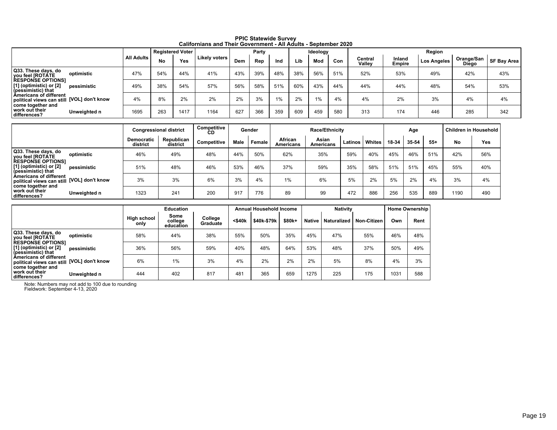|                                                                        |              |            | <b>Registered Voter</b> |      |                      |     | Party |       |     | Ideology |     |                   |                         | Region             |                     |                 |
|------------------------------------------------------------------------|--------------|------------|-------------------------|------|----------------------|-----|-------|-------|-----|----------|-----|-------------------|-------------------------|--------------------|---------------------|-----------------|
|                                                                        |              | All Adults | No                      | Yes  | <b>Likely voters</b> | Dem | Rep   | Ind   | Lib | Mod      | Con | Central<br>Valley | Inland<br><b>Empire</b> | <b>Los Angeles</b> | Orange/San<br>Diego | ∣ SF Bay Area I |
| Q33. These days, do<br>' you feel [ROTÁTE<br><b>RESPONSE OPTIONS]</b>  | optimistic   | 47%        | 54%                     | 44%  | 41%                  | 43% | 39%   | 48%   | 38% | 56%      | 51% | 52%               | 53%                     | 49%                | 42%                 | 43%             |
| [1] (optimistic) or [2]<br>' (pessimistic) that                        | pessimistic  | 49%        | 38%                     | 54%  | 57%                  | 56% | 58%   | 51%   | 60% | 43%      | 44% | 44%               | 44%                     | 48%                | 54%                 | 53%             |
| ' Americans of different<br>political views can still [VOL] don't know |              | 4%         | 8%                      | 2%   | 2%                   | 2%  | 3%    | $1\%$ | 2%  | $1\%$    | 4%  | 4%                | 2%                      | 3%                 | 4%                  | 4%              |
| come together and<br>work out their<br>differences?                    | Unweighted n | 1695       | 263                     | 1417 | 1164                 | 627 | 366   | 359   | 609 | 459      | 580 | 313               | 174                     | 446                | 285                 | 342             |

|                                                                                                  |              | <b>Congressional district</b> |                        | Competitive<br>CD  |      | Gender |                             | Race/Ethnicity            |         |        |       | Age   |       | Children in Household |     |
|--------------------------------------------------------------------------------------------------|--------------|-------------------------------|------------------------|--------------------|------|--------|-----------------------------|---------------------------|---------|--------|-------|-------|-------|-----------------------|-----|
|                                                                                                  |              | <b>Democratic</b><br>district | Republican<br>district | <b>Competitive</b> | Male | Female | African<br><b>Americans</b> | Asian<br><b>Americans</b> | Latinos | Whites | 18-34 | 35-54 | $55+$ | No                    | Yes |
| Q33. These days, do<br>ˈvou feel [ROTÁTE                                                         | optimistic   | 46%                           | 49%                    | 48%                | 44%  | 50%    | 62%                         | 35%                       | 59%     | 40%    | 45%   | 46%   | 51%   | 42%                   | 56% |
| <b>RESPONSE OPTIONS!</b><br>$[1]$ (optimistic) or $[2]$<br>(pessimistic) that                    | pessimistic  | 51%                           | 48%                    | 46%                | 53%  | 46%    | 37%                         | 59%                       | 35%     | 58%    | 51%   | 51%   | 45%   | 55%                   | 40% |
| <b>Americans of different</b><br>political views can still [VOL] don't know<br>come together and |              | 3%                            | 3%                     | 6%                 | 3%   | 4%     | 1%                          | 6%                        | 5%      | 2%     | 5%    | 2%    | 4%    | 3%                    | 4%  |
| work out their<br>differences?                                                                   | Unweighted n | 1323                          | 24 <sup>′</sup>        | 200                | 917  | 776    | 89                          | 99                        | 472     | 886    | 256   | 535   | 889   | 1190                  | 490 |

|                                                                                           |              |                     | <b>Education</b>             |                     |              | Annual Household Income |        |      | <b>Nativity</b>      |             |      | Home Ownership |
|-------------------------------------------------------------------------------------------|--------------|---------------------|------------------------------|---------------------|--------------|-------------------------|--------|------|----------------------|-------------|------|----------------|
|                                                                                           |              | High school<br>only | Some<br>college<br>education | College<br>Graduate | $<$ \$40 $k$ | \$40k-\$79k             | \$80k+ |      | Native   Naturalized | Non-Citizen | Own  | Rent           |
| Q33. These days, do<br>∣ vou feel [ROTÁTE                                                 | optimistic   | 58%                 | 44%                          | 38%                 | 55%          | 50%                     | 35%    | 45%  | 47%                  | 55%         | 46%  | 48%            |
| <b>RESPONSE OPTIONS1</b><br>[1] (optimistic) or [2]<br>  (pessimistic) that               | pessimistic  | 36%                 | 56%                          | 59%                 | 40%          | 48%                     | 64%    | 53%  | 48%                  | 37%         | 50%  | 49%            |
| Americans of different<br>political views can still [VOL] don't know<br>come together and |              | 6%                  | 1%                           | 3%                  | 4%           | 2%                      | 2%     | 2%   | 5%                   | 8%          | 4%   | 3%             |
| work out their<br>differences?                                                            | Unweighted n | 444                 | 402                          | 817                 | 48           | 365                     | 659    | 1275 | 225                  | 175         | 1031 | 588            |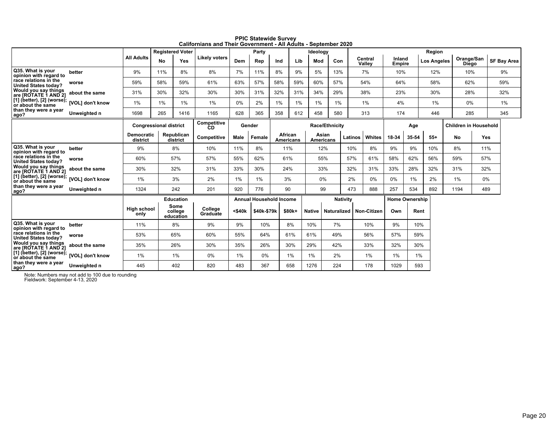|                                                                                |                  |                               |     |                              | odinormano and Their Oovernment - Air Addito - Oeptember 2020 |              |                         |                  |         |               |                           |                 |                          |                         |                       |             |      |                              |            |                    |
|--------------------------------------------------------------------------------|------------------|-------------------------------|-----|------------------------------|---------------------------------------------------------------|--------------|-------------------------|------------------|---------|---------------|---------------------------|-----------------|--------------------------|-------------------------|-----------------------|-------------|------|------------------------------|------------|--------------------|
|                                                                                |                  |                               |     | <b>Registered Voter</b>      |                                                               |              | Party                   |                  |         | Ideology      |                           |                 |                          |                         |                       | Region      |      |                              |            |                    |
|                                                                                |                  | <b>All Adults</b>             | No  | Yes                          | <b>Likely voters</b>                                          | Dem          | Rep                     | Ind              | Lib     | Mod           | Con                       |                 | <b>Central</b><br>Valley | Inland<br><b>Empire</b> |                       | Los Angeles |      | Orange/San<br>Diego          |            | <b>SF Bay Area</b> |
| Q35. What is your<br>opinion with regard to                                    | better           | 9%                            | 11% | 8%                           | 8%                                                            | 7%           | 11%                     | 8%               | 9%      | 5%            | 13%                       |                 | 7%                       | 10%                     |                       | 12%         |      | 10%                          |            | 9%                 |
| race relations in the<br><b>United States today?</b>                           | worse            | 59%                           | 58% | 59%                          | 61%                                                           | 63%          | 57%                     | 58%              | 59%     | 60%           | 57%                       |                 | 54%                      | 64%                     |                       | 58%         |      | 62%                          |            | 59%                |
| Would you say things<br>are [ROTATE 1 AND 2]                                   | about the same   | 31%                           | 30% | 32%                          | 30%                                                           | 30%          | 31%                     | 32%              | 31%     | 34%           | 29%                       |                 | 38%                      | 23%                     |                       | 30%         |      | 28%                          |            | 32%                |
| [1] (better), [2] (worse); [VOL] don't know<br>or about the same               |                  | 1%                            | 1%  | 1%                           | $1\%$                                                         | 0%           | 2%                      | 1%               | $1\%$   | 1%            | 1%                        |                 | 1%                       | 4%                      |                       | 1%          |      | 0%                           |            | 1%                 |
| than they were a year<br>ago?                                                  | Unweighted n     | 1698                          | 265 | 1416                         | 1165                                                          | 628          | 365                     | 358              | 612     | 458           | 580                       |                 | 313                      | 174                     |                       | 446         |      | 285                          |            | 345                |
|                                                                                |                  | <b>Congressional district</b> |     |                              | Competitive<br>ĊD                                             |              | Gender                  |                  |         |               | Race/Ethnicity            |                 |                          |                         | Age                   |             |      | <b>Children in Household</b> |            |                    |
|                                                                                |                  | <b>Democratic</b><br>district |     | Republican<br>district       | Competitive                                                   | <b>Male</b>  | Female                  | <b>Americans</b> | African |               | Asian<br><b>Americans</b> | Latinos         | Whites                   | 18-34                   | 35-54                 | $55+$       | No   |                              | <b>Yes</b> |                    |
| Q35. What is your                                                              | better           | 9%                            |     | 8%                           | 10%                                                           | 11%          | 8%                      | 11%              |         |               | 12%                       | 10%             | 8%                       | 9%                      | 9%                    | 10%         | 8%   |                              | 11%        |                    |
| opinion with regard to<br>race relations in the<br><b>United States todav?</b> | worse            | 60%                           |     | 57%                          | 57%                                                           | 55%          | 62%                     | 61%              |         |               | 55%                       | 57%             | 61%                      | 58%                     | 62%                   | 56%         | 59%  |                              | 57%        |                    |
| Would you say things<br>are [ROTATE 1 AND 2]                                   | about the same   | 30%                           |     | 32%                          | 31%                                                           | 33%          | 30%                     | 24%              |         |               | 33%                       | 32%             | 31%                      | 33%                     | 28%                   | 32%         | 31%  |                              | 32%        |                    |
| [1] (better), [2] (worse);<br>or about the same                                | [VOL] don't know | $1\%$                         |     | 3%                           | 2%                                                            | 1%           | $1\%$                   |                  | 3%      |               | 0%                        | 2%              | 0%                       | 0%                      | 1%                    | 2%          | 1%   |                              | 0%         |                    |
| than they were a year<br>ago?                                                  | Unweighted n     | 1324                          |     | 242                          | 201                                                           | 920          | 776                     |                  | 90      |               | 99                        | 473             | 888                      | 257                     | 534                   | 892         | 1194 |                              | 489        |                    |
|                                                                                |                  |                               |     | <b>Education</b>             |                                                               |              | Annual Household Income |                  |         |               |                           | <b>Nativity</b> |                          |                         | <b>Home Ownership</b> |             |      |                              |            |                    |
|                                                                                |                  | <b>High school</b><br>only    |     | Some<br>college<br>education | College<br>Graduate                                           | $<$ \$40 $k$ | \$40k-\$79k             |                  | \$80k+  | <b>Native</b> | Naturalized               |                 | <b>Non-Citizen</b>       | Own                     | Rent                  |             |      |                              |            |                    |
| Q35. What is your<br>opinion with regard to                                    | better           | 11%                           |     | 8%                           | 9%                                                            | 9%           | 10%                     |                  | 8%      | 10%           | 7%                        |                 | 10%                      | 9%                      | 10%                   |             |      |                              |            |                    |
| race relations in the<br><b>United States today?</b>                           | worse            | 53%                           |     | 65%                          | 60%                                                           | 55%          | 64%                     |                  | 61%     | 61%           | 49%                       |                 | 56%                      | 57%                     | 59%                   |             |      |                              |            |                    |
| Would you say things<br>are [ROTATE 1 AND 2]                                   | about the same   | 35%                           |     | 26%                          | 30%                                                           | 35%          | 26%                     |                  | 30%     | 29%           | 42%                       |                 | 33%                      | 32%                     | 30%                   |             |      |                              |            |                    |
| [1] (better), [2] (worse); [VOL] don't know<br>or about the same               |                  | $1\%$                         |     | 1%                           | 0%                                                            | 1%           | 0%                      |                  | 1%      | $1\%$         | 2%                        |                 | 1%                       | 1%                      | 1%                    |             |      |                              |            |                    |
| than they were a year<br>ago?                                                  | Unweighted n     | 445                           |     | 402                          | 820                                                           | 483          | 367                     |                  | 658     | 1276          | 224                       |                 | 178                      | 1029                    | 593                   |             |      |                              |            |                    |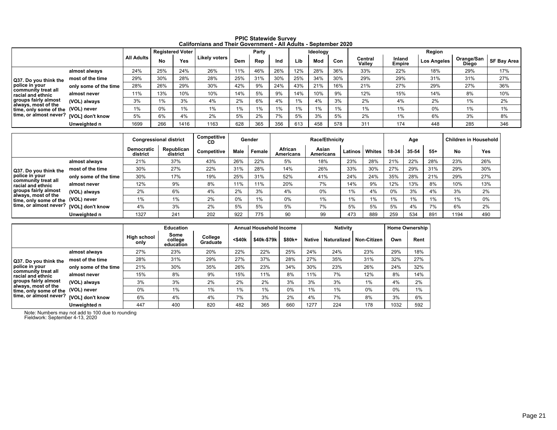|                                                                                     |                       |                   | Registered Voter |      |               |     | Party |     |       | Ideology |       |                   |                         | Region      |                     |             |
|-------------------------------------------------------------------------------------|-----------------------|-------------------|------------------|------|---------------|-----|-------|-----|-------|----------|-------|-------------------|-------------------------|-------------|---------------------|-------------|
|                                                                                     |                       | <b>All Adults</b> | <b>No</b>        | Yes  | Likely voters | Dem | Rep   | Ind | Lib   | Mod      | Con   | Central<br>Vallev | Inland<br><b>Empire</b> | Los Angeles | Orange/San<br>Diego | SF Bay Area |
|                                                                                     | almost always         | 24%               | 25%              | 24%  | 26%           | 11% | 46%   | 26% | 12%   | 28%      | 36%   | 33%               | 22%                     | 18%         | 29%                 | 17%         |
| Q37. Do you think the<br>police in your<br>community treat all<br>racial and ethnic | most of the time      | 29%               | 30%              | 28%  | 28%           | 25% | 31%   | 30% | 25%   | 34%      | 30%   | 29%               | 29%                     | 31%         | 31%                 | 27%         |
|                                                                                     | only some of the time | 28%               | 26%              | 29%  | 30%           | 42% | 9%    | 24% | 43%   | 21%      | 16%   | 21%               | 27%                     | 29%         | 27%                 | 36%         |
|                                                                                     | almost never          | 11%               | 13%              | 10%  | 10%           | 14% | 5%    | 9%  | 14%   | 10%      | 9%    | 12%               | 15%                     | 14%         | 8%                  | 10%         |
| groups fairly almost                                                                | (VOL) always          | 3%                | 1%               | 3%   | 4%            | 2%  | 6%    | 4%  | $1\%$ | 4%       | 3%    | 2%                | 4%                      | 2%          | 1%                  | 2%          |
| always, most of the<br>time, only some of the (VOL) never                           |                       | 1%                | 0%               | 1%   | 1%            | 1%  | 1%    | 1%  | $1\%$ | 1%       | $1\%$ | 1%                | 1%                      | 0%          | 1%                  | 1%          |
| time, or almost never?                                                              | [VOL] don't know      | 5%                | 6%               | 4%   | 2%            | 5%  | 2%    | 7%  | 5%    | 3%       | 5%    | 2%                | 1%                      | 6%          | 3%                  | 8%          |
|                                                                                     | Unweighted n          | 1699              | 266              | 1416 | 1163          | 628 | 365   | 356 | 613   | 458      | 578   | 311               | 174                     | 448         | 285                 | 346         |

|                                                            |                       | <b>Congressional district</b> |                        | Competitive<br>CD |       | Gender |                             | <b>Race/Ethnicity</b>     |         |          |       | Age   |       | Children in Household |     |
|------------------------------------------------------------|-----------------------|-------------------------------|------------------------|-------------------|-------|--------|-----------------------------|---------------------------|---------|----------|-------|-------|-------|-----------------------|-----|
|                                                            |                       | <b>Democratic</b><br>district | Republican<br>district | Competitive       | Male  | Female | African<br><b>Americans</b> | Asian<br><b>Americans</b> | Latinos | l Whites | 18-34 | 35-54 | $55+$ | <b>No</b>             | Yes |
|                                                            | almost always         | 21%                           | 37%                    | 43%               | 26%   | 22%    | 5%                          | 18%                       | 23%     | 28%      | 21%   | 22%   | 28%   | 23%                   | 26% |
| Q37. Do you think the                                      | most of the time      | 30%                           | 27%                    | 22%               | 31%   | 28%    | 14%                         | 26%                       | 33%     | 30%      | 27%   | 29%   | 31%   | 29%                   | 30% |
| police in your<br>community treat all<br>racial and ethnic | only some of the time | 30%                           | 17%                    | 19%               | 25%   | 31%    | 52%                         | 41%                       | 24%     | 24%      | 35%   | 28%   | 21%   | 29%                   | 27% |
|                                                            | almost never          | 12%                           | 9%                     | 8%                | 11%   | 11%    | 20%                         | 7%                        | 14%     | 9%       | 12%   | 13%   | 8%    | 10%                   | 13% |
| groups fairly almost                                       | (VOL) always          | 2%                            | 6%                     | 4%                | 2%    | 3%     | 4%                          | 0%                        | 1%      | 4%       | 0%    | 3%    | 4%    | 3%                    | 2%  |
| always, most of the<br>time, only some of the (VOL) never  |                       | $1\%$                         | 1%                     | 2%                | $0\%$ | $1\%$  | 0%                          | $1\%$                     | 1%      | 1%       | 1%    | 1%    | 1%    | 1%                    | 0%  |
| time, or almost never?                                     | [VOL] don't know      | 4%                            | 3%                     | 2%                | 5%    | 5%     | 5%                          | 7%                        | 5%      | 5%       | 5%    | 4%    | 7%    | 6%                    | 2%  |
|                                                            | Unweighted n          | 1327                          | 241                    | 202               | 922   | 775    | 90                          | 99                        | 473     | 889      | 259   | 534   | 891   | 1194                  | 490 |

|                                               |                       |                     | <b>Education</b>             |                     |              | <b>Annual Household Income</b> |        |               | <b>Nativity</b> |               |       | Home Ownership |
|-----------------------------------------------|-----------------------|---------------------|------------------------------|---------------------|--------------|--------------------------------|--------|---------------|-----------------|---------------|-------|----------------|
|                                               |                       | High school<br>only | Some<br>college<br>education | College<br>Graduate | $<$ \$40 $k$ | \$40k-\$79k                    | \$80k+ | <b>Native</b> | Naturalized     | l Non-Citizen | Own   | Rent           |
|                                               | almost always         | 27%                 | 23%                          | 20%                 | 22%          | 22%                            | 25%    | 24%           | 24%             | 23%           | 29%   | 18%            |
| Q37. Do you think the                         | most of the time      | 28%                 | 31%                          | 29%                 | 27%          | 37%                            | 28%    | 27%           | 35%             | 31%           | 32%   | 27%            |
| police in your                                | only some of the time | 21%                 | 30%                          | 35%                 | 26%          | 23%                            | 34%    | 30%           | 23%             | 26%           | 24%   | 32%            |
| community treat all<br>racial and ethnic      | almost never          | 15%                 | 8%                           | 9%                  | 15%          | 11%                            | 8%     | 11%           | 7%              | 12%           | 8%    | 14%            |
| groups fairly almost                          | (VOL) always          | 3%                  | 3%                           | 2%                  | 2%           | 2%                             | 3%     | 3%            | 3%              | $1\%$         | 4%    | 2%             |
| always, most of the<br>time, only some of the | (VOL) never           | 0%                  | 1%                           | 1%                  | 1%           | $1\%$                          | 0%     | $1\%$         | 1%              | 0%            | $0\%$ | 1%             |
| time, or almost never?                        | [VOL] don't know      | 6%                  | 4%                           | 4%                  | 7%           | 3%                             | 2%     | 4%            | 7%              | 8%            | 3%    | 6%             |
|                                               | Unweighted n          | 447                 | 400                          | 820                 | 482          | 365                            | 660    | 1277          | 224             | 178           | 1032  | 592            |